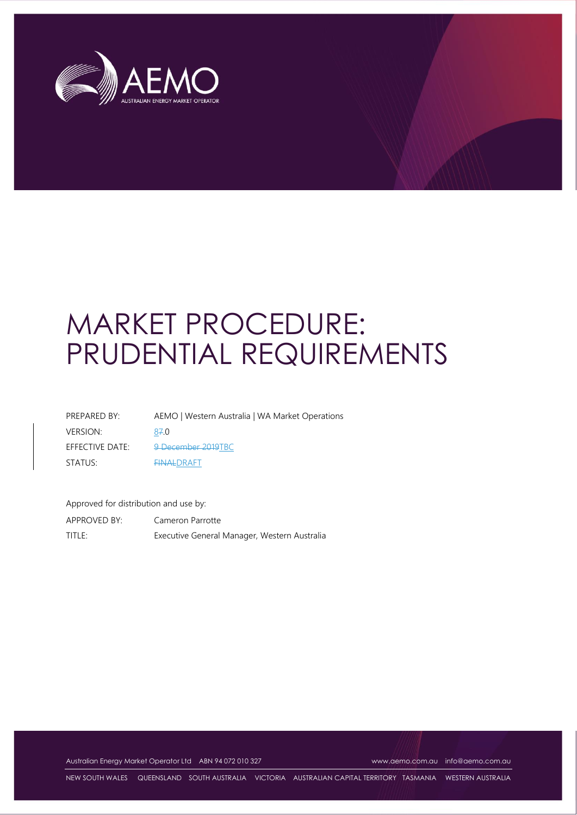

# MARKET PROCEDURE: PRUDENTIAL REQUIREMENTS

| PREPARED BY:    | AEMO   Western Australia   WA Market Operations |
|-----------------|-------------------------------------------------|
| <b>VERSION:</b> | 87.0                                            |
| EFFECTIVE DATE: | 9 December 2019TBC                              |
| STATUS:         | <b>FINALDRAFT</b>                               |

Approved for distribution and use by:

APPROVED BY: Cameron Parrotte TITLE: Executive General Manager, Western Australia

Australian Energy Market Operator Ltd ABN 94 072 010 327 [www.aemo.com.au](http://www.aemo.com.au/) [info@aemo.com.au](mailto:info@aemo.com.au)

NEW SOUTH WALES QUEENSLAND SOUTH AUSTRALIA VICTORIA AUSTRALIAN CAPITAL TERRITORY TASMANIA WESTERN AUSTRALIA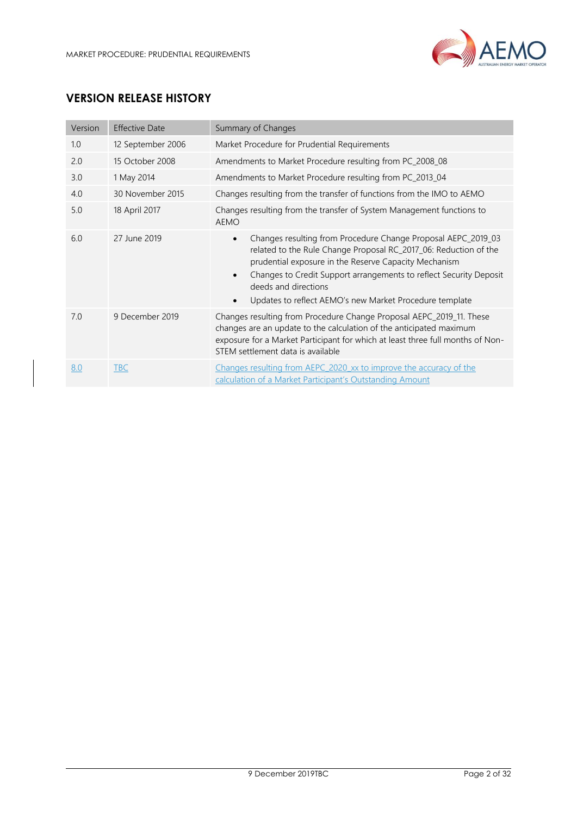

# **VERSION RELEASE HISTORY**

| Version | <b>Effective Date</b> | Summary of Changes                                                                                                                                                                                                                                                                                                                                               |
|---------|-----------------------|------------------------------------------------------------------------------------------------------------------------------------------------------------------------------------------------------------------------------------------------------------------------------------------------------------------------------------------------------------------|
| 1.0     | 12 September 2006     | Market Procedure for Prudential Requirements                                                                                                                                                                                                                                                                                                                     |
| 2.0     | 15 October 2008       | Amendments to Market Procedure resulting from PC_2008_08                                                                                                                                                                                                                                                                                                         |
| 3.0     | 1 May 2014            | Amendments to Market Procedure resulting from PC_2013_04                                                                                                                                                                                                                                                                                                         |
| 4.0     | 30 November 2015      | Changes resulting from the transfer of functions from the IMO to AEMO                                                                                                                                                                                                                                                                                            |
| 5.0     | 18 April 2017         | Changes resulting from the transfer of System Management functions to<br><b>AEMO</b>                                                                                                                                                                                                                                                                             |
| 6.0     | 27 June 2019          | Changes resulting from Procedure Change Proposal AEPC_2019_03<br>$\bullet$<br>related to the Rule Change Proposal RC_2017_06: Reduction of the<br>prudential exposure in the Reserve Capacity Mechanism<br>Changes to Credit Support arrangements to reflect Security Deposit<br>deeds and directions<br>Updates to reflect AEMO's new Market Procedure template |
| 7.0     | 9 December 2019       | Changes resulting from Procedure Change Proposal AEPC_2019_11. These<br>changes are an update to the calculation of the anticipated maximum<br>exposure for a Market Participant for which at least three full months of Non-<br>STEM settlement data is available                                                                                               |
| 8.0     | <b>TBC</b>            | Changes resulting from AEPC 2020 xx to improve the accuracy of the<br>calculation of a Market Participant's Outstanding Amount                                                                                                                                                                                                                                   |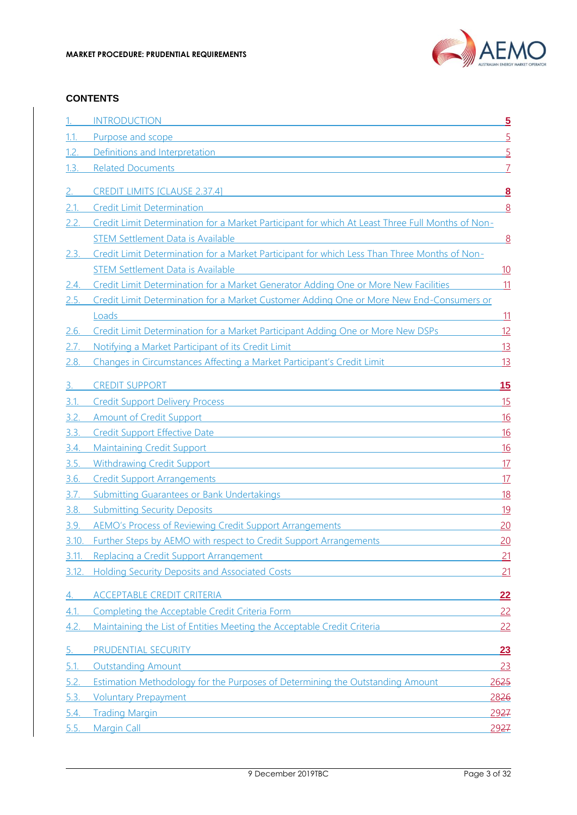

#### **CONTENTS**

|             | <b>INTRODUCTION</b>                                                                                                                                                                                        | $\overline{5}$   |
|-------------|------------------------------------------------------------------------------------------------------------------------------------------------------------------------------------------------------------|------------------|
| 1.1.        | Purpose and scope                                                                                                                                                                                          | 5                |
| 1.2.        | Definitions and Interpretation<br><u> 1980 - Jan Barnett, fransk politiker (d. 1980)</u>                                                                                                                   | $\overline{5}$   |
| 1.3.        | <b>Related Documents</b>                                                                                                                                                                                   |                  |
|             |                                                                                                                                                                                                            |                  |
| 2.          | <b>CREDIT LIMITS [CLAUSE 2.37.4]</b>                                                                                                                                                                       | 8                |
| 2.1.        | <b>Credit Limit Determination</b>                                                                                                                                                                          | 8                |
|             | Credit Limit Determination for a Market Participant for which At Least Three Full Months of Non-                                                                                                           |                  |
|             | <b>STEM Settlement Data is Available</b>                                                                                                                                                                   | 8                |
| <u>2.3.</u> | Credit Limit Determination for a Market Participant for which Less Than Three Months of Non-                                                                                                               |                  |
|             | <b>STEM Settlement Data is Available</b>                                                                                                                                                                   | <u> 10</u>       |
| 2.4.        | Credit Limit Determination for a Market Generator Adding One or More New Facilities                                                                                                                        | 11               |
| 2.5.        | Credit Limit Determination for a Market Customer Adding One or More New End-Consumers or<br>Loads                                                                                                          |                  |
| 2.6.        | Credit Limit Determination for a Market Participant Adding One or More New DSPs                                                                                                                            | <u> 11</u><br>12 |
| 2.7.        | Notifying a Market Participant of its Credit Limit                                                                                                                                                         | 13               |
| 2.8.        | Changes in Circumstances Affecting a Market Participant's Credit Limit                                                                                                                                     | 13               |
|             |                                                                                                                                                                                                            |                  |
| 3.          | <b>CREDIT SUPPORT</b>                                                                                                                                                                                      | 15               |
| 3.1.        | Credit Support Delivery Process <b>Credit Support Delivery Process</b>                                                                                                                                     | 15               |
| 3.2.        | <b>Amount of Credit Support</b><br><u> 1980 - Johann Barn, mars ann an t-Amhain Aonaich an t-Aonaich an t-Aonaich an t-Aonaich an t-Aonaich an t-Aon</u>                                                   | 16               |
| 3.3.        | <b>Credit Support Effective Date</b>                                                                                                                                                                       | <u>16</u>        |
| 3.4.        | <u> 1989 - Johann Stein, marwolaethau (b. 1989)</u><br><b>Maintaining Credit Support</b>                                                                                                                   | <u>16</u>        |
| 3.5.        | <b>Withdrawing Credit Support</b><br><u> 1989 - Johann Barn, mars eta bat erroman erroman erroman erroman erroman erroman erroman erroman erroman err</u>                                                  | 17               |
| <u>3.6.</u> | <b>Credit Support Arrangements</b><br><u> 1980 - Johann Barn, amerikan bernama di sebagai personal di sebagai personal di sebagai personal di sebagai p</u>                                                | 17               |
| 3.7.        | <b>Submitting Guarantees or Bank Undertakings</b>                                                                                                                                                          | <u>18</u>        |
| 3.8.        | <b>Submitting Security Deposits</b><br>and the state of the state of the state of the state of the state of the state of the state of the state of the                                                     | 19               |
| 3.9.        | <b>AEMO's Process of Reviewing Credit Support Arrangements</b>                                                                                                                                             | 20               |
| 3.10.       | Further Steps by AEMO with respect to Credit Support Arrangements                                                                                                                                          | 20               |
| 3.11.       | <b>Replacing a Credit Support Arrangement Arrangement Arrangement</b>                                                                                                                                      | 21               |
| 3.12.       | Holding Security Deposits and Associated Costs <b>Exercise 2018</b>                                                                                                                                        | 21               |
| 4.          | <b>ACCEPTABLE CREDIT CRITERIA</b>                                                                                                                                                                          | 22               |
| 4.1         | Completing the Acceptable Credit Criteria Form <b>Completion Completion Completion Completion Completion Completion Completion Completion Completion Completion Completion Completion Completion Compl</b> | 22               |
| 4.2.        | Maintaining the List of Entities Meeting the Acceptable Credit Criteria                                                                                                                                    | 22               |
|             |                                                                                                                                                                                                            |                  |
| 5.          | PRUDENTIAL SECURITY <b>And All And All And All And All And All And All And All And All And All And All And All And A</b>                                                                                   | 23               |
| 5.1.        | <b>Outstanding Amount</b>                                                                                                                                                                                  | 23               |
| 5.2.        | <b>Estimation Methodology for the Purposes of Determining the Outstanding Amount</b>                                                                                                                       | 2625             |
| 5.3.        | <b>Voluntary Prepayment</b><br><u> 1989 - Johann Stein, mars and de Britain and de Britain and de Britain and de Britain and de Britain and de B</u>                                                       | 2826             |
| 5.4.        | <b>Trading Margin</b>                                                                                                                                                                                      | 2927             |
| 5.5.        | <b>Margin Call</b>                                                                                                                                                                                         | 2927             |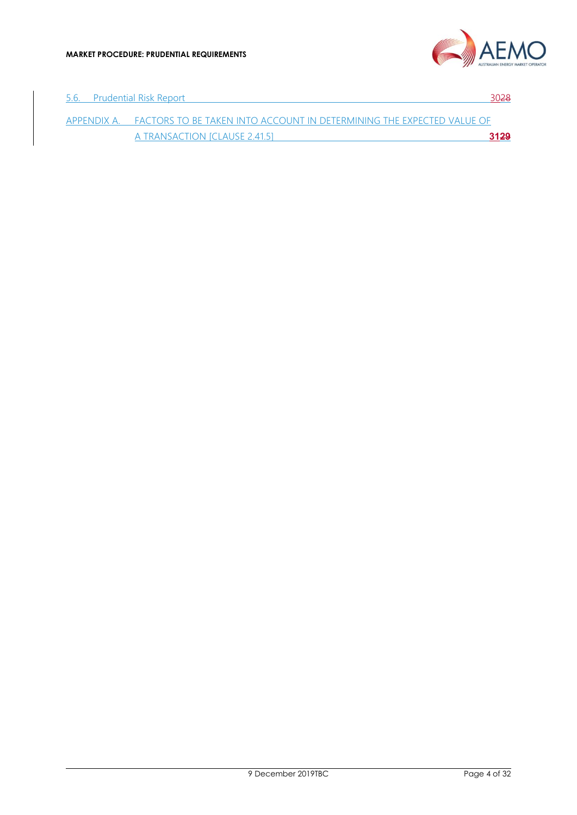

| -5.6. | <b>Prudential Risk Report</b>                                                     | 30 <del>28</del> |
|-------|-----------------------------------------------------------------------------------|------------------|
|       | APPENDIX A. FACTORS TO BE TAKEN INTO ACCOUNT IN DETERMINING THE EXPECTED VALUE OF |                  |
|       | A TRANSACTION [CLAUSE 2.41.5]                                                     | 3129             |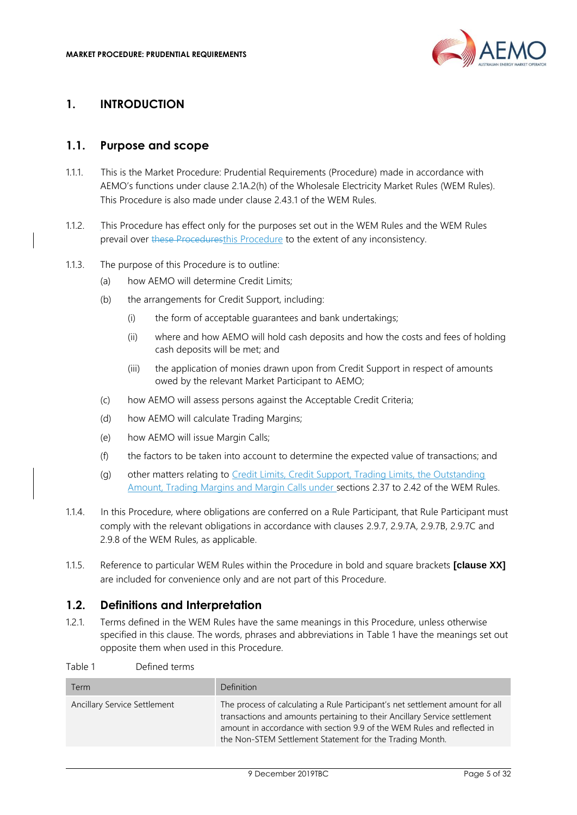

#### <span id="page-4-0"></span>**1. INTRODUCTION**

#### <span id="page-4-1"></span>**1.1. Purpose and scope**

- 1.1.1. This is the Market Procedure: Prudential Requirements (Procedure) made in accordance with AEMO's functions under clause 2.1A.2(h) of the Wholesale Electricity Market Rules (WEM Rules). This Procedure is also made under clause 2.43.1 of the WEM Rules.
- 1.1.2. This Procedure has effect only for the purposes set out in the WEM Rules and the WEM Rules prevail over these Proceduresthis Procedure to the extent of any inconsistency.
- 1.1.3. The purpose of this Procedure is to outline:
	- (a) how AEMO will determine Credit Limits;
	- (b) the arrangements for Credit Support, including:
		- (i) the form of acceptable guarantees and bank undertakings;
		- (ii) where and how AEMO will hold cash deposits and how the costs and fees of holding cash deposits will be met; and
		- (iii) the application of monies drawn upon from Credit Support in respect of amounts owed by the relevant Market Participant to AEMO;
	- (c) how AEMO will assess persons against the Acceptable Credit Criteria;
	- (d) how AEMO will calculate Trading Margins;
	- (e) how AEMO will issue Margin Calls;
	- (f) the factors to be taken into account to determine the expected value of transactions; and
	- (g) other matters relating to Credit Limits, Credit Support, Trading Limits, the Outstanding Amount, Trading Margins and Margin Calls under sections 2.37 to 2.42 of the WEM Rules.
- 1.1.4. In this Procedure, where obligations are conferred on a Rule Participant, that Rule Participant must comply with the relevant obligations in accordance with clauses 2.9.7, 2.9.7A, 2.9.7B, 2.9.7C and 2.9.8 of the WEM Rules, as applicable.
- 1.1.5. Reference to particular WEM Rules within the Procedure in bold and square brackets **[clause XX]** are included for convenience only and are not part of this Procedure.

## <span id="page-4-2"></span>**1.2. Definitions and Interpretation**

1.2.1. Terms defined in the WEM Rules have the same meanings in this Procedure, unless otherwise specified in this clause. The words, phrases and abbreviations in Table 1 have the meanings set out opposite them when used in this Procedure.

Table 1 Defined terms

| Term                         | Definition                                                                                                                                                                                                                                                                                        |
|------------------------------|---------------------------------------------------------------------------------------------------------------------------------------------------------------------------------------------------------------------------------------------------------------------------------------------------|
| Ancillary Service Settlement | The process of calculating a Rule Participant's net settlement amount for all<br>transactions and amounts pertaining to their Ancillary Service settlement<br>amount in accordance with section 9.9 of the WEM Rules and reflected in<br>the Non-STEM Settlement Statement for the Trading Month. |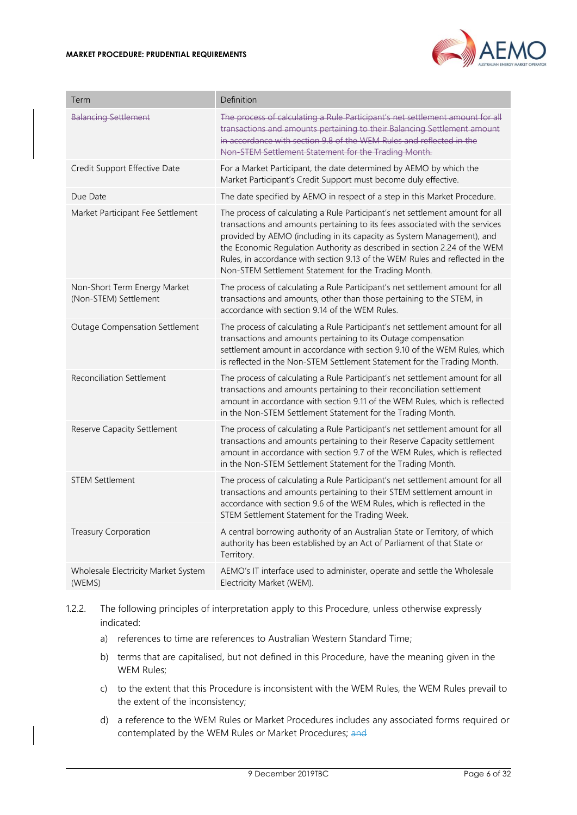

| Term                                                  | Definition                                                                                                                                                                                                                                                                                                                                                                                                                                                   |
|-------------------------------------------------------|--------------------------------------------------------------------------------------------------------------------------------------------------------------------------------------------------------------------------------------------------------------------------------------------------------------------------------------------------------------------------------------------------------------------------------------------------------------|
| <b>Balancing Settlement</b>                           | The process of calculating a Rule Participant's net settlement amount for all<br>transactions and amounts pertaining to their Balancing Settlement amount<br>in accordance with section 9.8 of the WEM Rules and reflected in the<br>Non-STEM Settlement Statement for the Trading Month.                                                                                                                                                                    |
| Credit Support Effective Date                         | For a Market Participant, the date determined by AEMO by which the<br>Market Participant's Credit Support must become duly effective.                                                                                                                                                                                                                                                                                                                        |
| Due Date                                              | The date specified by AEMO in respect of a step in this Market Procedure.                                                                                                                                                                                                                                                                                                                                                                                    |
| Market Participant Fee Settlement                     | The process of calculating a Rule Participant's net settlement amount for all<br>transactions and amounts pertaining to its fees associated with the services<br>provided by AEMO (including in its capacity as System Management), and<br>the Economic Regulation Authority as described in section 2.24 of the WEM<br>Rules, in accordance with section 9.13 of the WEM Rules and reflected in the<br>Non-STEM Settlement Statement for the Trading Month. |
| Non-Short Term Energy Market<br>(Non-STEM) Settlement | The process of calculating a Rule Participant's net settlement amount for all<br>transactions and amounts, other than those pertaining to the STEM, in<br>accordance with section 9.14 of the WEM Rules.                                                                                                                                                                                                                                                     |
| Outage Compensation Settlement                        | The process of calculating a Rule Participant's net settlement amount for all<br>transactions and amounts pertaining to its Outage compensation<br>settlement amount in accordance with section 9.10 of the WEM Rules, which<br>is reflected in the Non-STEM Settlement Statement for the Trading Month.                                                                                                                                                     |
| <b>Reconciliation Settlement</b>                      | The process of calculating a Rule Participant's net settlement amount for all<br>transactions and amounts pertaining to their reconciliation settlement<br>amount in accordance with section 9.11 of the WEM Rules, which is reflected<br>in the Non-STEM Settlement Statement for the Trading Month.                                                                                                                                                        |
| Reserve Capacity Settlement                           | The process of calculating a Rule Participant's net settlement amount for all<br>transactions and amounts pertaining to their Reserve Capacity settlement<br>amount in accordance with section 9.7 of the WEM Rules, which is reflected<br>in the Non-STEM Settlement Statement for the Trading Month.                                                                                                                                                       |
| <b>STEM Settlement</b>                                | The process of calculating a Rule Participant's net settlement amount for all<br>transactions and amounts pertaining to their STEM settlement amount in<br>accordance with section 9.6 of the WEM Rules, which is reflected in the<br>STEM Settlement Statement for the Trading Week.                                                                                                                                                                        |
| <b>Treasury Corporation</b>                           | A central borrowing authority of an Australian State or Territory, of which<br>authority has been established by an Act of Parliament of that State or<br>Territory.                                                                                                                                                                                                                                                                                         |
| Wholesale Electricity Market System<br>(WEMS)         | AEMO's IT interface used to administer, operate and settle the Wholesale<br>Electricity Market (WEM).                                                                                                                                                                                                                                                                                                                                                        |

- 1.2.2. The following principles of interpretation apply to this Procedure, unless otherwise expressly indicated:
	- a) references to time are references to Australian Western Standard Time;
	- b) terms that are capitalised, but not defined in this Procedure, have the meaning given in the WEM Rules;
	- c) to the extent that this Procedure is inconsistent with the WEM Rules, the WEM Rules prevail to the extent of the inconsistency;
	- d) a reference to the WEM Rules or Market Procedures includes any associated forms required or contemplated by the WEM Rules or Market Procedures; and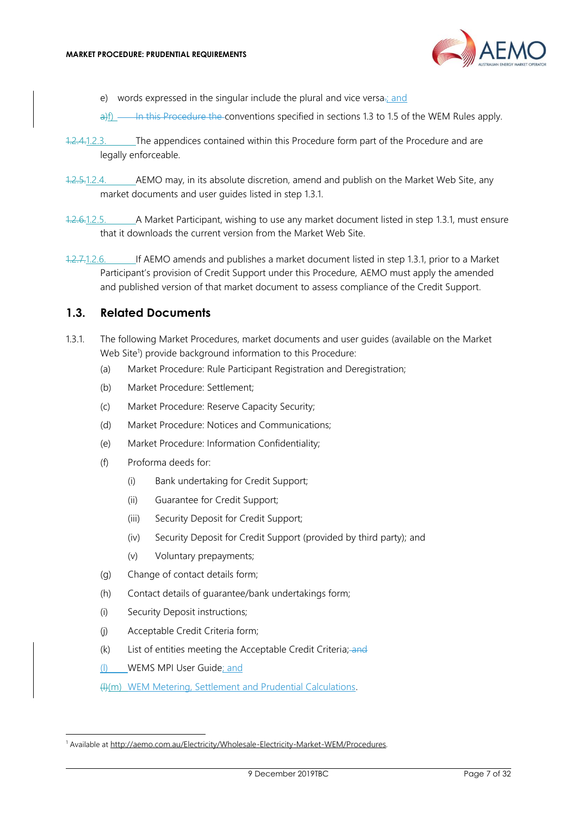

e) words expressed in the singular include the plural and vice versa.; and

 $\theta$ )f)  $\theta$  in this Procedure the conventions specified in sections 1.3 to 1.5 of the WEM Rules apply.

- 1.2.4.1.2.3. The appendices contained within this Procedure form part of the Procedure and are legally enforceable.
- 1.2.5.1.2.4. AEMO may, in its absolute discretion, amend and publish on the Market Web Site, any market documents and user guides listed in step [1.3.1.](#page-6-1)
- 1.2.6.1.2.5. A Market Participant, wishing to use any market document listed in step [1.3.1,](#page-6-1) must ensure that it downloads the current version from the Market Web Site.
- 1.2.7.1.2.6. If AEMO amends and publishes a market document listed in step [1.3.1,](#page-6-1) prior to a Market Participant's provision of Credit Support under this Procedure, AEMO must apply the amended and published version of that market document to assess compliance of the Credit Support.

#### <span id="page-6-0"></span>**1.3. Related Documents**

- <span id="page-6-1"></span>1.3.1. The following Market Procedures, market documents and user guides (available on the Market Web Site<sup>1</sup>) provide background information to this Procedure:
	- (a) Market Procedure: Rule Participant Registration and Deregistration;
	- (b) Market Procedure: Settlement;
	- (c) Market Procedure: Reserve Capacity Security;
	- (d) Market Procedure: Notices and Communications;
	- (e) Market Procedure: Information Confidentiality;
	- (f) Proforma deeds for:
		- (i) Bank undertaking for Credit Support;
		- (ii) Guarantee for Credit Support;
		- (iii) Security Deposit for Credit Support;
		- (iv) Security Deposit for Credit Support (provided by third party); and
		- (v) Voluntary prepayments;
	- (g) Change of contact details form;
	- (h) Contact details of guarantee/bank undertakings form;
	- (i) Security Deposit instructions;
	- (j) Acceptable Credit Criteria form;
	- (k) List of entities meeting the Acceptable Credit Criteria; and
	- (l) WEMS MPI User Guide; and

(l)(m) WEM Metering, Settlement and Prudential Calculations.

<sup>&</sup>lt;sup>1</sup> Available at [http://aemo.com.au/Electricity/Wholesale-Electricity-Market-WEM/Procedures.](http://aemo.com.au/Electricity/Wholesale-Electricity-Market-WEM/Procedures)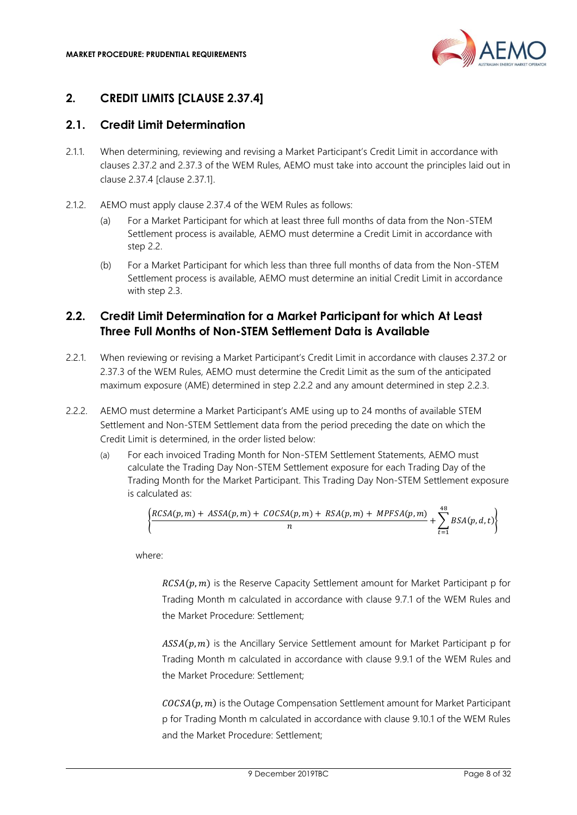

# <span id="page-7-0"></span>**2. CREDIT LIMITS [CLAUSE 2.37.4]**

# <span id="page-7-1"></span>**2.1. Credit Limit Determination**

- <span id="page-7-4"></span>2.1.1. When determining, reviewing and revising a Market Participant's Credit Limit in accordance with clauses 2.37.2 and 2.37.3 of the WEM Rules, AEMO must take into account the principles laid out in clause 2.37.4 [clause 2.37.1].
- 2.1.2. AEMO must apply clause 2.37.4 of the WEM Rules as follows:
	- (a) For a Market Participant for which at least three full months of data from the Non-STEM Settlement process is available, AEMO must determine a Credit Limit in accordance with step [2.2.](#page-7-2)
	- (b) For a Market Participant for which less than three full months of data from the Non-STEM Settlement process is available, AEMO must determine an initial Credit Limit in accordance with step [2.3.](#page-9-0)

# <span id="page-7-2"></span>**2.2. Credit Limit Determination for a Market Participant for which At Least Three Full Months of Non-STEM Settlement Data is Available**

- 2.2.1. When reviewing or revising a Market Participant's Credit Limit in accordance with clauses 2.37.2 or 2.37.3 of the WEM Rules, AEMO must determine the Credit Limit as the sum of the anticipated maximum exposure (AME) determined in step [2.2.2](#page-7-3) and any amount determined in step [2.2.3.](#page-8-0)
- <span id="page-7-3"></span>2.2.2. AEMO must determine a Market Participant's AME using up to 24 months of available STEM Settlement and Non-STEM Settlement data from the period preceding the date on which the Credit Limit is determined, in the order listed below:
	- (a) For each invoiced Trading Month for Non-STEM Settlement Statements, AEMO must calculate the Trading Day Non-STEM Settlement exposure for each Trading Day of the Trading Month for the Market Participant. This Trading Day Non-STEM Settlement exposure is calculated as:

$$
\left\{\frac{RCSA(p,m)+ASSA(p,m)+COCSA(p,m)+RSA(p,m)+MPFSA(p,m)}{n}+\sum_{t=1}^{48}BSA(p,d,t)\right\}
$$

where:

 $RCSA(p, m)$  is the Reserve Capacity Settlement amount for Market Participant p for Trading Month m calculated in accordance with clause 9.7.1 of the WEM Rules and the Market Procedure: Settlement;

 $ASSA(p, m)$  is the Ancillary Service Settlement amount for Market Participant p for Trading Month m calculated in accordance with clause 9.9.1 of the WEM Rules and the Market Procedure: Settlement;

 $COCSA(p, m)$  is the Outage Compensation Settlement amount for Market Participant p for Trading Month m calculated in accordance with clause 9.10.1 of the WEM Rules and the Market Procedure: Settlement;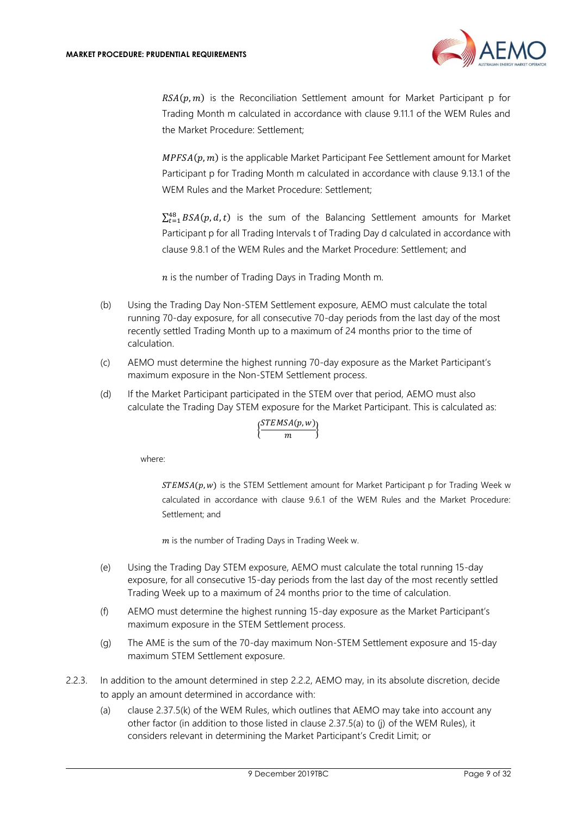

 $RSA(p, m)$  is the Reconciliation Settlement amount for Market Participant p for Trading Month m calculated in accordance with clause 9.11.1 of the WEM Rules and the Market Procedure: Settlement;

 $MPFSA(p, m)$  is the applicable Market Participant Fee Settlement amount for Market Participant p for Trading Month m calculated in accordance with clause 9.13.1 of the WEM Rules and the Market Procedure: Settlement;

 $\sum_{t=1}^{48} BSA(p, d, t)$  is the sum of the Balancing Settlement amounts for Market Participant p for all Trading Intervals t of Trading Day d calculated in accordance with clause 9.8.1 of the WEM Rules and the Market Procedure: Settlement; and

 $n$  is the number of Trading Days in Trading Month m.

- (b) Using the Trading Day Non-STEM Settlement exposure, AEMO must calculate the total running 70-day exposure, for all consecutive 70-day periods from the last day of the most recently settled Trading Month up to a maximum of 24 months prior to the time of calculation.
- (c) AEMO must determine the highest running 70-day exposure as the Market Participant's maximum exposure in the Non-STEM Settlement process.
- (d) If the Market Participant participated in the STEM over that period, AEMO must also calculate the Trading Day STEM exposure for the Market Participant. This is calculated as:

$$
\Big\{\!\frac{STEMSA(p,w)}{m}\!\Big\}
$$

where:

 $STEMSA(p, w)$  is the STEM Settlement amount for Market Participant p for Trading Week w calculated in accordance with clause 9.6.1 of the WEM Rules and the Market Procedure: Settlement; and

 $m$  is the number of Trading Days in Trading Week w.

- (e) Using the Trading Day STEM exposure, AEMO must calculate the total running 15-day exposure, for all consecutive 15-day periods from the last day of the most recently settled Trading Week up to a maximum of 24 months prior to the time of calculation.
- (f) AEMO must determine the highest running 15-day exposure as the Market Participant's maximum exposure in the STEM Settlement process.
- (g) The AME is the sum of the 70-day maximum Non-STEM Settlement exposure and 15-day maximum STEM Settlement exposure.
- <span id="page-8-0"></span>2.2.3. In addition to the amount determined in step [2.2.2,](#page-7-3) AEMO may, in its absolute discretion, decide to apply an amount determined in accordance with:
	- (a) clause 2.37.5(k) of the WEM Rules, which outlines that AEMO may take into account any other factor (in addition to those listed in clause 2.37.5(a) to (j) of the WEM Rules), it considers relevant in determining the Market Participant's Credit Limit; or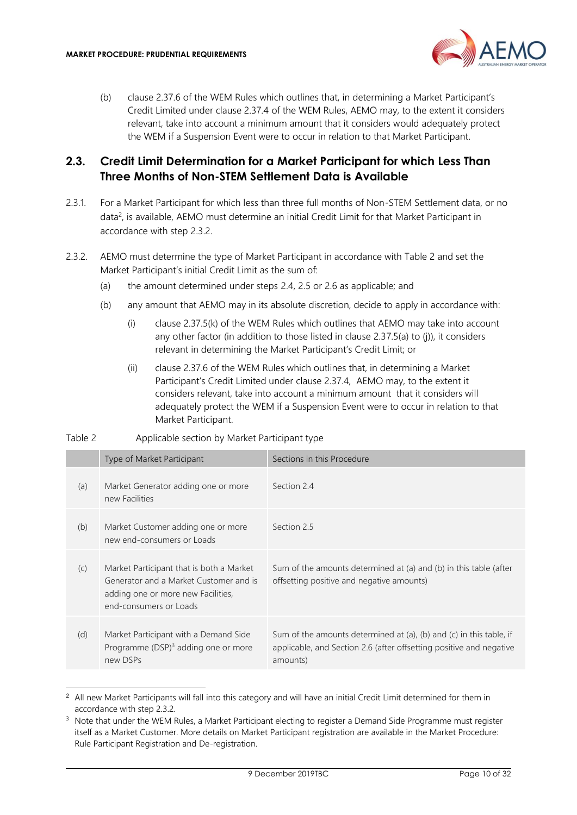

(b) clause 2.37.6 of the WEM Rules which outlines that, in determining a Market Participant's Credit Limited under clause 2.37.4 of the WEM Rules, AEMO may, to the extent it considers relevant, take into account a minimum amount that it considers would adequately protect the WEM if a Suspension Event were to occur in relation to that Market Participant.

## <span id="page-9-0"></span>**2.3. Credit Limit Determination for a Market Participant for which Less Than Three Months of Non-STEM Settlement Data is Available**

- 2.3.1. For a Market Participant for which less than three full months of Non-STEM Settlement data, or no data<sup>2</sup>, is available, AEMO must determine an initial Credit Limit for that Market Participant in accordance with step [2.3.2.](#page-9-1)
- <span id="page-9-1"></span>2.3.2. AEMO must determine the type of Market Participant in accordance with Table 2 and set the Market Participant's initial Credit Limit as the sum of:
	- (a) the amount determined under steps [2.4,](#page-10-0) [2.5](#page-10-1) or [2.6](#page-11-0) as applicable; and
	- (b) any amount that AEMO may in its absolute discretion, decide to apply in accordance with:
		- (i) clause 2.37.5(k) of the WEM Rules which outlines that AEMO may take into account any other factor (in addition to those listed in clause 2.37.5(a) to (j)), it considers relevant in determining the Market Participant's Credit Limit; or
		- (ii) clause 2.37.6 of the WEM Rules which outlines that, in determining a Market Participant's Credit Limited under clause 2.37.4, AEMO may, to the extent it considers relevant, take into account a minimum amount that it considers will adequately protect the WEM if a Suspension Event were to occur in relation to that Market Participant.

| Table 2 | Applicable section by Market Participant type |
|---------|-----------------------------------------------|
|         |                                               |
|         |                                               |

|     | Type of Market Participant                                                                                                                         | Sections in this Procedure                                                                                                                             |
|-----|----------------------------------------------------------------------------------------------------------------------------------------------------|--------------------------------------------------------------------------------------------------------------------------------------------------------|
| (a) | Market Generator adding one or more<br>new Facilities                                                                                              | Section 24                                                                                                                                             |
| (b) | Market Customer adding one or more<br>new end-consumers or Loads                                                                                   | Section 2.5                                                                                                                                            |
| (C) | Market Participant that is both a Market<br>Generator and a Market Customer and is<br>adding one or more new Facilities,<br>end-consumers or Loads | Sum of the amounts determined at (a) and (b) in this table (after<br>offsetting positive and negative amounts)                                         |
| (d) | Market Participant with a Demand Side<br>Programme $(DSP)^3$ adding one or more<br>new DSPs                                                        | Sum of the amounts determined at (a), (b) and (c) in this table, if<br>applicable, and Section 2.6 (after offsetting positive and negative<br>amounts) |

<sup>&</sup>lt;sup>2</sup> All new Market Participants will fall into this category and will have an initial Credit Limit determined for them in accordance with step [2.3.2.](#page-9-1)

<sup>&</sup>lt;sup>3</sup> Note that under the WEM Rules, a Market Participant electing to register a Demand Side Programme must register itself as a Market Customer. More details on Market Participant registration are available in the Market Procedure: Rule Participant Registration and De-registration.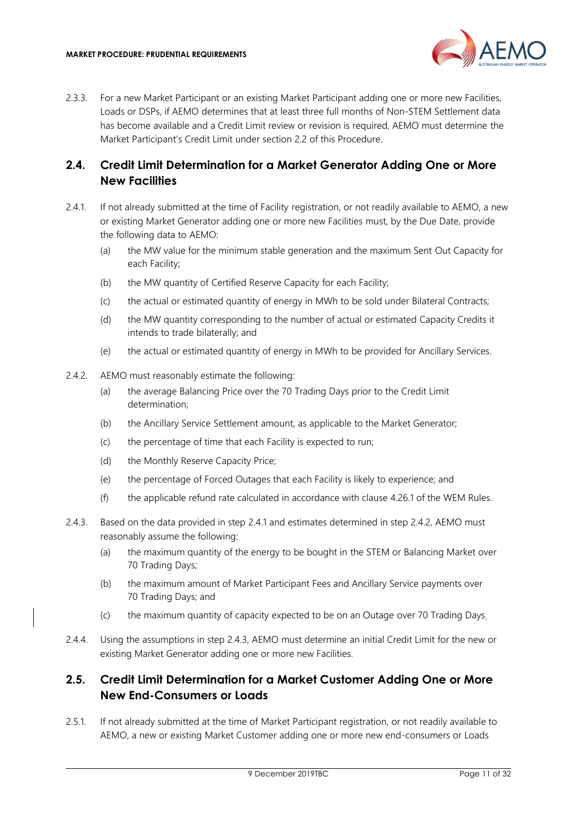

2.3.3. For a new Market Participant or an existing Market Participant adding one or more new Facilities, Loads or DSPs, if AEMO determines that at least three full months of Non-STEM Settlement data has become available and a Credit Limit review or revision is required, AEMO must determine the Market Participant's Credit Limit under section [2.2](#page-7-2) of this Procedure.

#### <span id="page-10-0"></span>**2.4. Credit Limit Determination for a Market Generator Adding One or More New Facilities**

- <span id="page-10-2"></span>2.4.1. If not already submitted at the time of Facility registration, or not readily available to AEMO, a new or existing Market Generator adding one or more new Facilities must, by the Due Date, provide the following data to AEMO:
	- (a) the MW value for the minimum stable generation and the maximum Sent Out Capacity for each Facility;
	- (b) the MW quantity of Certified Reserve Capacity for each Facility;
	- (c) the actual or estimated quantity of energy in MWh to be sold under Bilateral Contracts;
	- (d) the MW quantity corresponding to the number of actual or estimated Capacity Credits it intends to trade bilaterally; and
	- (e) the actual or estimated quantity of energy in MWh to be provided for Ancillary Services.
- <span id="page-10-3"></span>2.4.2. AEMO must reasonably estimate the following:
	- (a) the average Balancing Price over the 70 Trading Days prior to the Credit Limit determination;
	- (b) the Ancillary Service Settlement amount, as applicable to the Market Generator;
	- (c) the percentage of time that each Facility is expected to run;
	- (d) the Monthly Reserve Capacity Price;
	- (e) the percentage of Forced Outages that each Facility is likely to experience; and
	- (f) the applicable refund rate calculated in accordance with clause 4.26.1 of the WEM Rules.
- <span id="page-10-4"></span>2.4.3. Based on the data provided in step [2.4.1](#page-10-2) and estimates determined in step [2.4.2,](#page-10-3) AEMO must reasonably assume the following:
	- (a) the maximum quantity of the energy to be bought in the STEM or Balancing Market over 70 Trading Days;
	- (b) the maximum amount of Market Participant Fees and Ancillary Service payments over 70 Trading Days; and
	- (c) the maximum quantity of capacity expected to be on an Outage over 70 Trading Days.
- 2.4.4. Using the assumptions in step [2.4.3,](#page-10-4) AEMO must determine an initial Credit Limit for the new or existing Market Generator adding one or more new Facilities.

# <span id="page-10-1"></span>**2.5. Credit Limit Determination for a Market Customer Adding One or More New End-Consumers or Loads**

<span id="page-10-5"></span>2.5.1. If not already submitted at the time of Market Participant registration, or not readily available to AEMO, a new or existing Market Customer adding one or more new end-consumers or Loads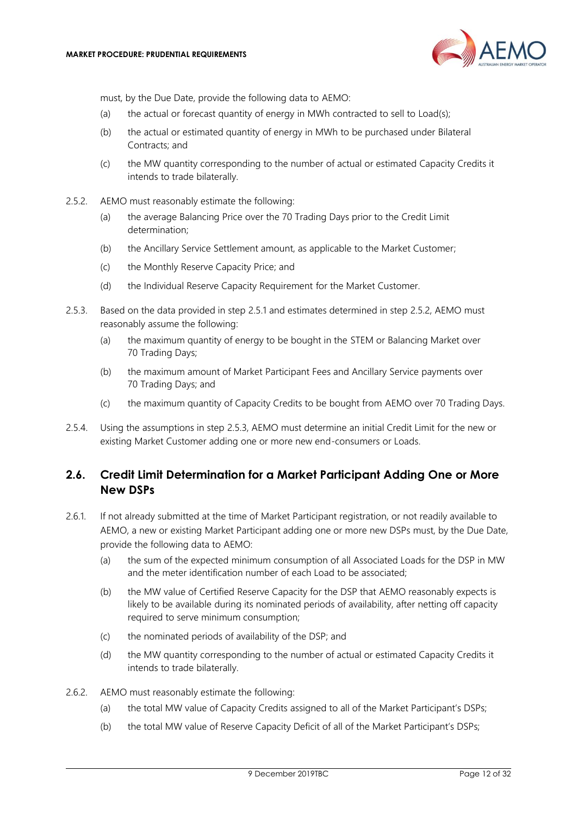

must, by the Due Date, provide the following data to AEMO:

- (a) the actual or forecast quantity of energy in MWh contracted to sell to Load(s);
- (b) the actual or estimated quantity of energy in MWh to be purchased under Bilateral Contracts; and
- (c) the MW quantity corresponding to the number of actual or estimated Capacity Credits it intends to trade bilaterally.
- <span id="page-11-1"></span>2.5.2. AEMO must reasonably estimate the following:
	- (a) the average Balancing Price over the 70 Trading Days prior to the Credit Limit determination;
	- (b) the Ancillary Service Settlement amount, as applicable to the Market Customer;
	- (c) the Monthly Reserve Capacity Price; and
	- (d) the Individual Reserve Capacity Requirement for the Market Customer.
- <span id="page-11-2"></span>2.5.3. Based on the data provided in step [2.5.1](#page-10-5) and estimates determined in step [2.5.2,](#page-11-1) AEMO must reasonably assume the following:
	- (a) the maximum quantity of energy to be bought in the STEM or Balancing Market over 70 Trading Days;
	- (b) the maximum amount of Market Participant Fees and Ancillary Service payments over 70 Trading Days; and
	- (c) the maximum quantity of Capacity Credits to be bought from AEMO over 70 Trading Days.
- 2.5.4. Using the assumptions in step [2.5.3,](#page-11-2) AEMO must determine an initial Credit Limit for the new or existing Market Customer adding one or more new end-consumers or Loads.

## <span id="page-11-0"></span>**2.6. Credit Limit Determination for a Market Participant Adding One or More New DSPs**

- 2.6.1. If not already submitted at the time of Market Participant registration, or not readily available to AEMO, a new or existing Market Participant adding one or more new DSPs must, by the Due Date, provide the following data to AEMO:
	- (a) the sum of the expected minimum consumption of all Associated Loads for the DSP in MW and the meter identification number of each Load to be associated;
	- (b) the MW value of Certified Reserve Capacity for the DSP that AEMO reasonably expects is likely to be available during its nominated periods of availability, after netting off capacity required to serve minimum consumption;
	- (c) the nominated periods of availability of the DSP; and
	- (d) the MW quantity corresponding to the number of actual or estimated Capacity Credits it intends to trade bilaterally.
- <span id="page-11-3"></span>2.6.2. AEMO must reasonably estimate the following:
	- (a) the total MW value of Capacity Credits assigned to all of the Market Participant's DSPs;
	- (b) the total MW value of Reserve Capacity Deficit of all of the Market Participant's DSPs;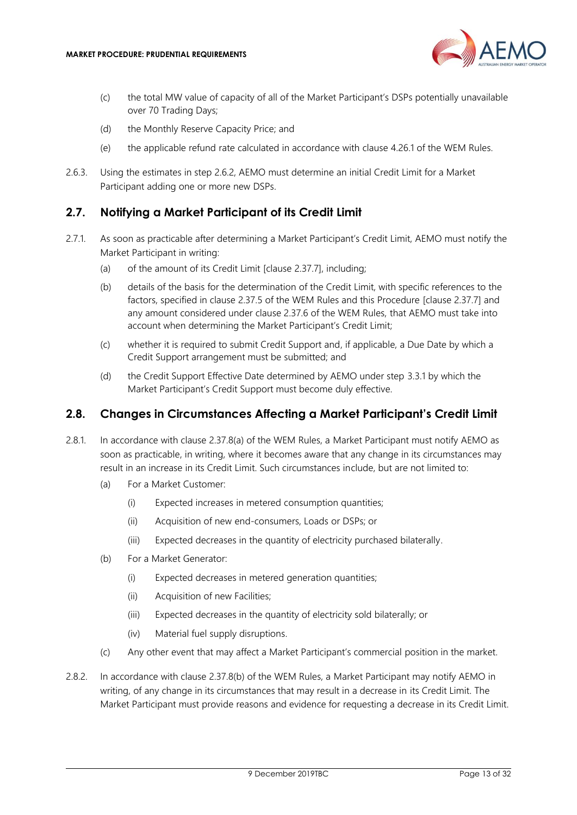

- (c) the total MW value of capacity of all of the Market Participant's DSPs potentially unavailable over 70 Trading Days;
- (d) the Monthly Reserve Capacity Price; and
- (e) the applicable refund rate calculated in accordance with clause 4.26.1 of the WEM Rules.
- 2.6.3. Using the estimates in step [2.6.2,](#page-11-3) AEMO must determine an initial Credit Limit for a Market Participant adding one or more new DSPs.

#### <span id="page-12-0"></span>**2.7. Notifying a Market Participant of its Credit Limit**

- <span id="page-12-4"></span>2.7.1. As soon as practicable after determining a Market Participant's Credit Limit, AEMO must notify the Market Participant in writing:
	- (a) of the amount of its Credit Limit [clause 2.37.7], including;
	- (b) details of the basis for the determination of the Credit Limit, with specific references to the factors, specified in clause 2.37.5 of the WEM Rules and this Procedure [clause 2.37.7] and any amount considered under clause 2.37.6 of the WEM Rules, that AEMO must take into account when determining the Market Participant's Credit Limit;
	- (c) whether it is required to submit Credit Support and, if applicable, a Due Date by which a Credit Support arrangement must be submitted; and
	- (d) the Credit Support Effective Date determined by AEMO under step [3.3.1](#page-15-3) by which the Market Participant's Credit Support must become duly effective.

#### <span id="page-12-1"></span>**2.8. Changes in Circumstances Affecting a Market Participant's Credit Limit**

- <span id="page-12-5"></span><span id="page-12-2"></span>2.8.1. In accordance with clause 2.37.8(a) of the WEM Rules, a Market Participant must notify AEMO as soon as practicable, in writing, where it becomes aware that any change in its circumstances may result in an increase in its Credit Limit. Such circumstances include, but are not limited to:
	- (a) For a Market Customer:
		- (i) Expected increases in metered consumption quantities;
		- (ii) Acquisition of new end-consumers, Loads or DSPs; or
		- (iii) Expected decreases in the quantity of electricity purchased bilaterally.
	- (b) For a Market Generator:
		- (i) Expected decreases in metered generation quantities;
		- (ii) Acquisition of new Facilities;
		- (iii) Expected decreases in the quantity of electricity sold bilaterally; or
		- (iv) Material fuel supply disruptions.
	- (c) Any other event that may affect a Market Participant's commercial position in the market.
- <span id="page-12-3"></span>2.8.2. In accordance with clause 2.37.8(b) of the WEM Rules, a Market Participant may notify AEMO in writing, of any change in its circumstances that may result in a decrease in its Credit Limit. The Market Participant must provide reasons and evidence for requesting a decrease in its Credit Limit.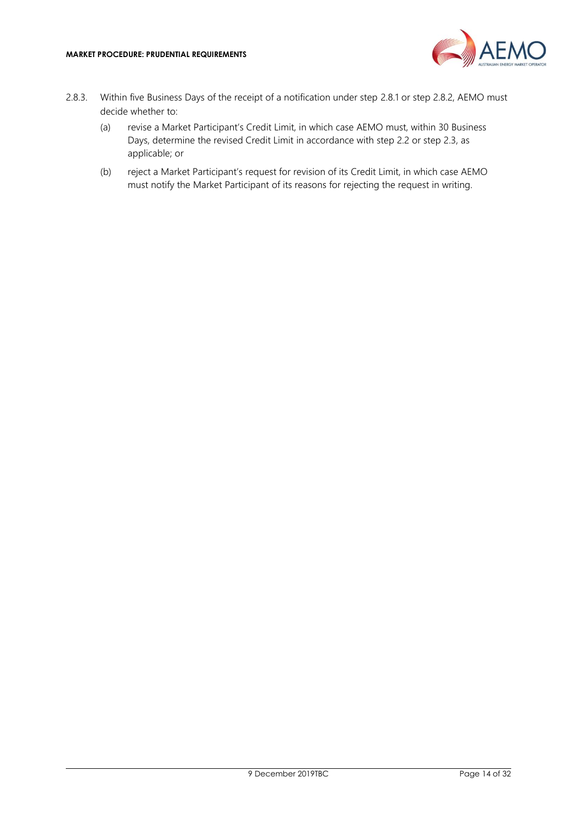

- 2.8.3. Within five Business Days of the receipt of a notification under step [2.8.1](#page-12-2) or step [2.8.2,](#page-12-3) AEMO must decide whether to:
	- (a) revise a Market Participant's Credit Limit, in which case AEMO must, within 30 Business Days, determine the revised Credit Limit in accordance with step [2.2](#page-7-2) or step [2.3,](#page-9-0) as applicable; or
	- (b) reject a Market Participant's request for revision of its Credit Limit, in which case AEMO must notify the Market Participant of its reasons for rejecting the request in writing.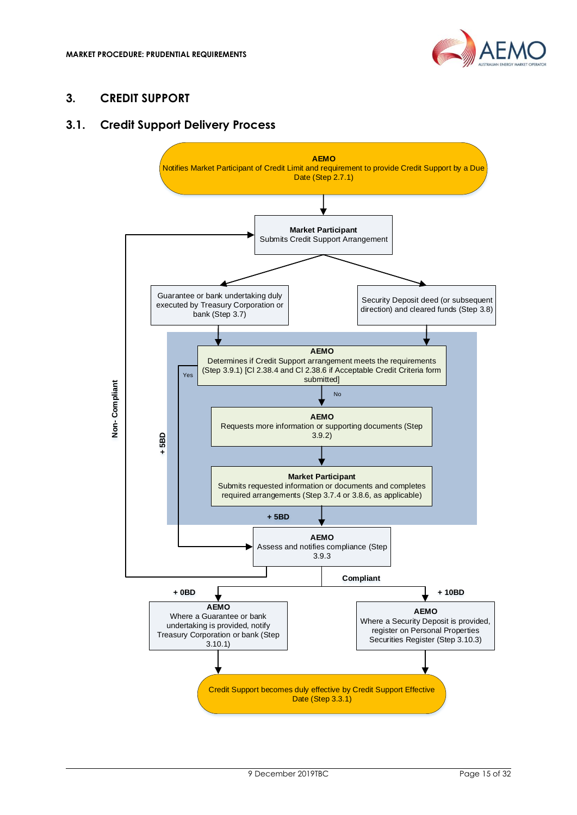

## <span id="page-14-0"></span>**3. CREDIT SUPPORT**

## <span id="page-14-1"></span>**3.1. Credit Support Delivery Process**

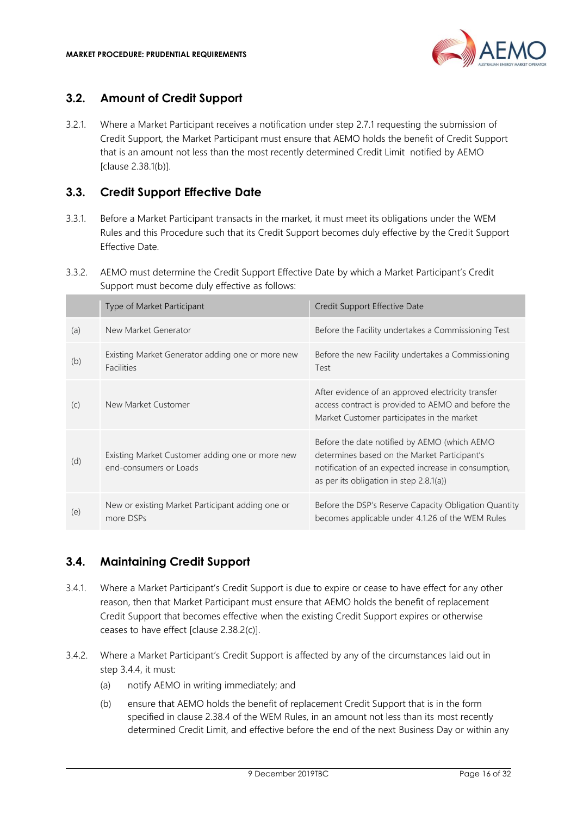

## <span id="page-15-0"></span>**3.2. Amount of Credit Support**

3.2.1. Where a Market Participant receives a notification under step [2.7.1](#page-12-4) requesting the submission of Credit Support, the Market Participant must ensure that AEMO holds the benefit of Credit Support that is an amount not less than the most recently determined Credit Limit notified by AEMO [clause 2.38.1(b)].

## <span id="page-15-1"></span>**3.3. Credit Support Effective Date**

- <span id="page-15-3"></span>3.3.1. Before a Market Participant transacts in the market, it must meet its obligations under the WEM Rules and this Procedure such that its Credit Support becomes duly effective by the Credit Support Effective Date.
- 3.3.2. AEMO must determine the Credit Support Effective Date by which a Market Participant's Credit Support must become duly effective as follows:

|     | Type of Market Participant                                                | Credit Support Effective Date                                                                                                                                                                      |
|-----|---------------------------------------------------------------------------|----------------------------------------------------------------------------------------------------------------------------------------------------------------------------------------------------|
| (a) | New Market Generator                                                      | Before the Facility undertakes a Commissioning Test                                                                                                                                                |
| (b) | Existing Market Generator adding one or more new<br><b>Facilities</b>     | Before the new Facility undertakes a Commissioning<br>Test                                                                                                                                         |
| (C) | New Market Customer                                                       | After evidence of an approved electricity transfer<br>access contract is provided to AEMO and before the<br>Market Customer participates in the market                                             |
| (d) | Existing Market Customer adding one or more new<br>end-consumers or Loads | Before the date notified by AEMO (which AEMO<br>determines based on the Market Participant's<br>notification of an expected increase in consumption,<br>as per its obligation in step $2.8.1(a)$ ) |
| (e) | New or existing Market Participant adding one or<br>more DSPs             | Before the DSP's Reserve Capacity Obligation Quantity<br>becomes applicable under 4.1.26 of the WEM Rules                                                                                          |

## <span id="page-15-2"></span>**3.4. Maintaining Credit Support**

- 3.4.1. Where a Market Participant's Credit Support is due to expire or cease to have effect for any other reason, then that Market Participant must ensure that AEMO holds the benefit of replacement Credit Support that becomes effective when the existing Credit Support expires or otherwise ceases to have effect [clause 2.38.2(c)].
- <span id="page-15-5"></span><span id="page-15-4"></span>3.4.2. Where a Market Participant's Credit Support is affected by any of the circumstances laid out in step [3.4.4,](#page-16-2) it must:
	- (a) notify AEMO in writing immediately; and
	- (b) ensure that AEMO holds the benefit of replacement Credit Support that is in the form specified in clause 2.38.4 of the WEM Rules, in an amount not less than its most recently determined Credit Limit, and effective before the end of the next Business Day or within any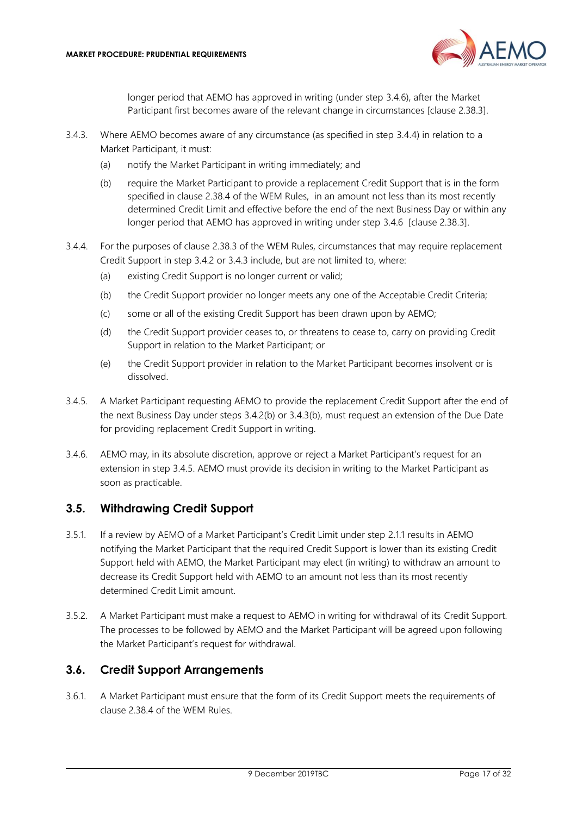

longer period that AEMO has approved in writing (under step [3.4.6\)](#page-16-3), after the Market Participant first becomes aware of the relevant change in circumstances [clause 2.38.3].

- <span id="page-16-5"></span><span id="page-16-4"></span>3.4.3. Where AEMO becomes aware of any circumstance (as specified in step [3.4.4\)](#page-16-2) in relation to a Market Participant, it must:
	- (a) notify the Market Participant in writing immediately; and
	- (b) require the Market Participant to provide a replacement Credit Support that is in the form specified in clause 2.38.4 of the WEM Rules, in an amount not less than its most recently determined Credit Limit and effective before the end of the next Business Day or within any longer period that AEMO has approved in writing under step [3.4.6](#page-16-3) [clause 2.38.3].
- <span id="page-16-2"></span>3.4.4. For the purposes of clause 2.38.3 of the WEM Rules, circumstances that may require replacement Credit Support in step [3.4.2](#page-15-4) or [3.4.3](#page-16-4) include, but are not limited to, where:
	- (a) existing Credit Support is no longer current or valid;
	- (b) the Credit Support provider no longer meets any one of the Acceptable Credit Criteria;
	- (c) some or all of the existing Credit Support has been drawn upon by AEMO;
	- (d) the Credit Support provider ceases to, or threatens to cease to, carry on providing Credit Support in relation to the Market Participant; or
	- (e) the Credit Support provider in relation to the Market Participant becomes insolvent or is dissolved.
- <span id="page-16-6"></span>3.4.5. A Market Participant requesting AEMO to provide the replacement Credit Support after the end of the next Business Day under steps 3.4.[2\(b\)](#page-15-5) or 3.4.[3\(b\),](#page-16-5) must request an extension of the Due Date for providing replacement Credit Support in writing.
- <span id="page-16-3"></span>3.4.6. AEMO may, in its absolute discretion, approve or reject a Market Participant's request for an extension in step [3.4.5.](#page-16-6) AEMO must provide its decision in writing to the Market Participant as soon as practicable.

#### <span id="page-16-0"></span>**3.5. Withdrawing Credit Support**

- 3.5.1. If a review by AEMO of a Market Participant's Credit Limit under step [2.1.1](#page-7-4) results in AEMO notifying the Market Participant that the required Credit Support is lower than its existing Credit Support held with AEMO, the Market Participant may elect (in writing) to withdraw an amount to decrease its Credit Support held with AEMO to an amount not less than its most recently determined Credit Limit amount.
- 3.5.2. A Market Participant must make a request to AEMO in writing for withdrawal of its Credit Support. The processes to be followed by AEMO and the Market Participant will be agreed upon following the Market Participant's request for withdrawal.

## <span id="page-16-1"></span>**3.6. Credit Support Arrangements**

3.6.1. A Market Participant must ensure that the form of its Credit Support meets the requirements of clause 2.38.4 of the WEM Rules.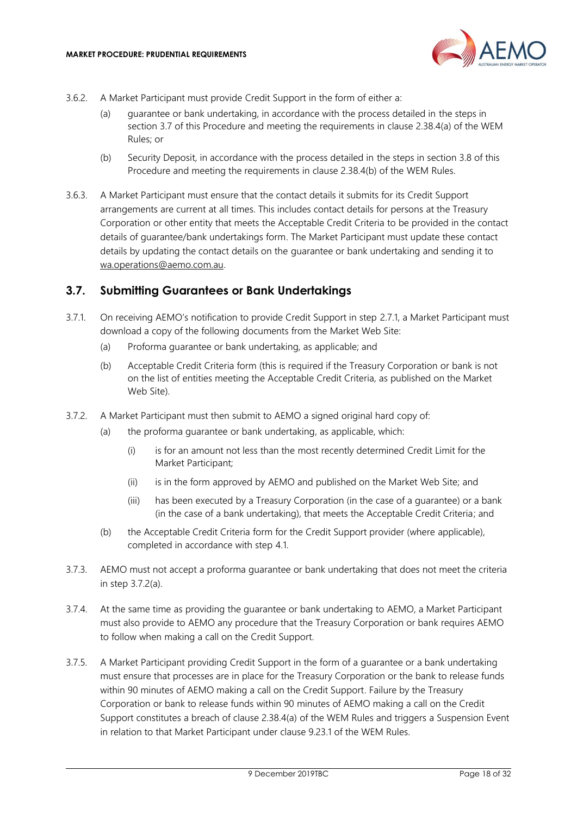

- 3.6.2. A Market Participant must provide Credit Support in the form of either a:
	- (a) guarantee or bank undertaking, in accordance with the process detailed in the steps in section [3.7](#page-17-0) of this Procedure and meeting the requirements in clause 2.38.4(a) of the WEM Rules; or
	- (b) Security Deposit, in accordance with the process detailed in the steps in section [3.8](#page-18-0) of this Procedure and meeting the requirements in clause 2.38.4(b) of the WEM Rules.
- 3.6.3. A Market Participant must ensure that the contact details it submits for its Credit Support arrangements are current at all times. This includes contact details for persons at the Treasury Corporation or other entity that meets the Acceptable Credit Criteria to be provided in the contact details of guarantee/bank undertakings form. The Market Participant must update these contact details by updating the contact details on the guarantee or bank undertaking and sending it to [wa.operations@aemo.com.au.](mailto:wa.operations@aemo.com.au)

#### <span id="page-17-0"></span>**3.7. Submitting Guarantees or Bank Undertakings**

- 3.7.1. On receiving AEMO's notification to provide Credit Support in step [2.7.1,](#page-12-4) a Market Participant must download a copy of the following documents from the Market Web Site:
	- (a) Proforma guarantee or bank undertaking, as applicable; and
	- (b) Acceptable Credit Criteria form (this is required if the Treasury Corporation or bank is not on the list of entities meeting the Acceptable Credit Criteria, as published on the Market Web Site).
- <span id="page-17-1"></span>3.7.2. A Market Participant must then submit to AEMO a signed original hard copy of:
	- (a) the proforma guarantee or bank undertaking, as applicable, which:
		- (i) is for an amount not less than the most recently determined Credit Limit for the Market Participant;
		- (ii) is in the form approved by AEMO and published on the Market Web Site; and
		- (iii) has been executed by a Treasury Corporation (in the case of a guarantee) or a bank (in the case of a bank undertaking), that meets the Acceptable Credit Criteria; and
	- (b) the Acceptable Credit Criteria form for the Credit Support provider (where applicable), completed in accordance with step [4.1.](#page-21-1)
- 3.7.3. AEMO must not accept a proforma guarantee or bank undertaking that does not meet the criteria in step 3.7.[2\(a\).](#page-17-1)
- 3.7.4. At the same time as providing the guarantee or bank undertaking to AEMO, a Market Participant must also provide to AEMO any procedure that the Treasury Corporation or bank requires AEMO to follow when making a call on the Credit Support.
- 3.7.5. A Market Participant providing Credit Support in the form of a guarantee or a bank undertaking must ensure that processes are in place for the Treasury Corporation or the bank to release funds within 90 minutes of AEMO making a call on the Credit Support. Failure by the Treasury Corporation or bank to release funds within 90 minutes of AEMO making a call on the Credit Support constitutes a breach of clause 2.38.4(a) of the WEM Rules and triggers a Suspension Event in relation to that Market Participant under clause 9.23.1 of the WEM Rules.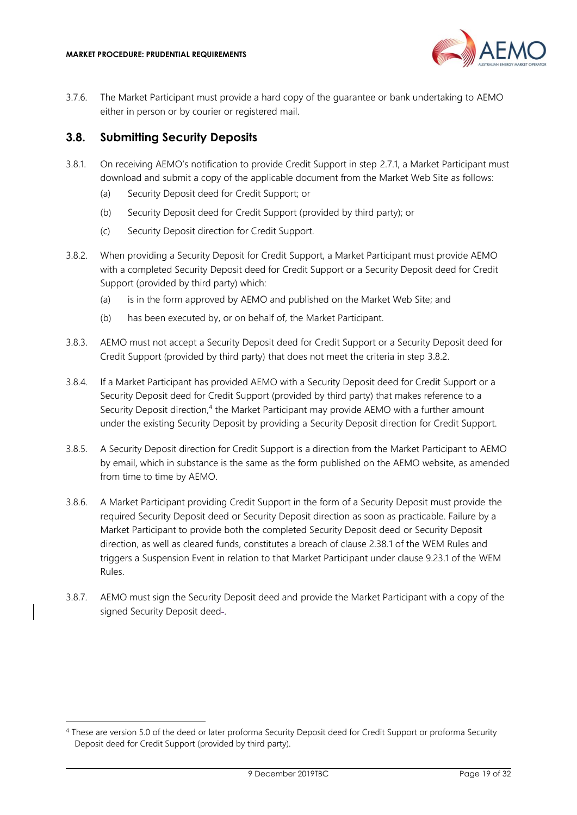

3.7.6. The Market Participant must provide a hard copy of the guarantee or bank undertaking to AEMO either in person or by courier or registered mail.

#### <span id="page-18-0"></span>**3.8. Submitting Security Deposits**

- 3.8.1. On receiving AEMO's notification to provide Credit Support in step [2.7.1,](#page-12-4) a Market Participant must download and submit a copy of the applicable document from the Market Web Site as follows:
	- (a) Security Deposit deed for Credit Support; or
	- (b) Security Deposit deed for Credit Support (provided by third party); or
	- (c) Security Deposit direction for Credit Support.
- <span id="page-18-1"></span>3.8.2. When providing a Security Deposit for Credit Support, a Market Participant must provide AEMO with a completed Security Deposit deed for Credit Support or a Security Deposit deed for Credit Support (provided by third party) which:
	- (a) is in the form approved by AEMO and published on the Market Web Site; and
	- (b) has been executed by, or on behalf of, the Market Participant.
- 3.8.3. AEMO must not accept a Security Deposit deed for Credit Support or a Security Deposit deed for Credit Support (provided by third party) that does not meet the criteria in step [3.8.2.](#page-18-1)
- 3.8.4. If a Market Participant has provided AEMO with a Security Deposit deed for Credit Support or a Security Deposit deed for Credit Support (provided by third party) that makes reference to a Security Deposit direction,<sup>4</sup> the Market Participant may provide AEMO with a further amount under the existing Security Deposit by providing a Security Deposit direction for Credit Support.
- 3.8.5. A Security Deposit direction for Credit Support is a direction from the Market Participant to AEMO by email, which in substance is the same as the form published on the AEMO website, as amended from time to time by AEMO.
- 3.8.6. A Market Participant providing Credit Support in the form of a Security Deposit must provide the required Security Deposit deed or Security Deposit direction as soon as practicable. Failure by a Market Participant to provide both the completed Security Deposit deed or Security Deposit direction, as well as cleared funds, constitutes a breach of clause 2.38.1 of the WEM Rules and triggers a Suspension Event in relation to that Market Participant under clause 9.23.1 of the WEM Rules.
- 3.8.7. AEMO must sign the Security Deposit deed and provide the Market Participant with a copy of the signed Security Deposit deed-.

<sup>4</sup> These are version 5.0 of the deed or later proforma Security Deposit deed for Credit Support or proforma Security Deposit deed for Credit Support (provided by third party).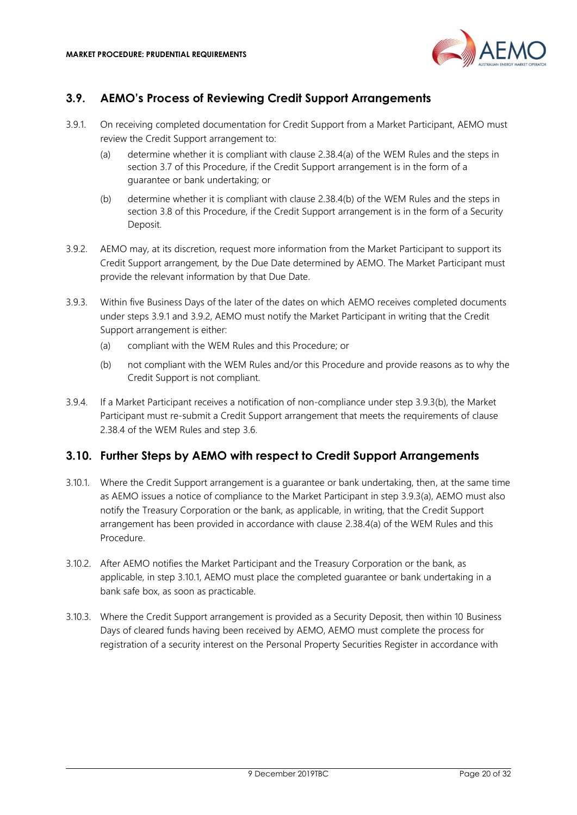

# <span id="page-19-0"></span>**3.9. AEMO's Process of Reviewing Credit Support Arrangements**

- <span id="page-19-2"></span>3.9.1. On receiving completed documentation for Credit Support from a Market Participant, AEMO must review the Credit Support arrangement to:
	- (a) determine whether it is compliant with clause 2.38.4(a) of the WEM Rules and the steps in section [3.7](#page-17-0) of this Procedure, if the Credit Support arrangement is in the form of a guarantee or bank undertaking; or
	- (b) determine whether it is compliant with clause 2.38.4(b) of the WEM Rules and the steps in section [3.8](#page-18-0) of this Procedure, if the Credit Support arrangement is in the form of a Security Deposit.
- <span id="page-19-3"></span>3.9.2. AEMO may, at its discretion, request more information from the Market Participant to support its Credit Support arrangement, by the Due Date determined by AEMO. The Market Participant must provide the relevant information by that Due Date.
- <span id="page-19-5"></span>3.9.3. Within five Business Days of the later of the dates on which AEMO receives completed documents under steps [3.9.1](#page-19-2) and [3.9.2,](#page-19-3) AEMO must notify the Market Participant in writing that the Credit Support arrangement is either:
	- (a) compliant with the WEM Rules and this Procedure; or
	- (b) not compliant with the WEM Rules and/or this Procedure and provide reasons as to why the Credit Support is not compliant.
- <span id="page-19-4"></span>3.9.4. If a Market Participant receives a notification of non-compliance under step 3.9.[3\(b\),](#page-19-4) the Market Participant must re-submit a Credit Support arrangement that meets the requirements of clause 2.38.4 of the WEM Rules and step [3.6.](#page-16-1)

## <span id="page-19-1"></span>**3.10. Further Steps by AEMO with respect to Credit Support Arrangements**

- <span id="page-19-6"></span>3.10.1. Where the Credit Support arrangement is a guarantee or bank undertaking, then, at the same time as AEMO issues a notice of compliance to the Market Participant in step 3.9.[3\(a\),](#page-19-5) AEMO must also notify the Treasury Corporation or the bank, as applicable, in writing, that the Credit Support arrangement has been provided in accordance with clause 2.38.4(a) of the WEM Rules and this Procedure.
- 3.10.2. After AEMO notifies the Market Participant and the Treasury Corporation or the bank, as applicable, in step [3.10.1,](#page-19-6) AEMO must place the completed guarantee or bank undertaking in a bank safe box, as soon as practicable.
- <span id="page-19-7"></span>3.10.3. Where the Credit Support arrangement is provided as a Security Deposit, then within 10 Business Days of cleared funds having been received by AEMO, AEMO must complete the process for registration of a security interest on the Personal Property Securities Register in accordance with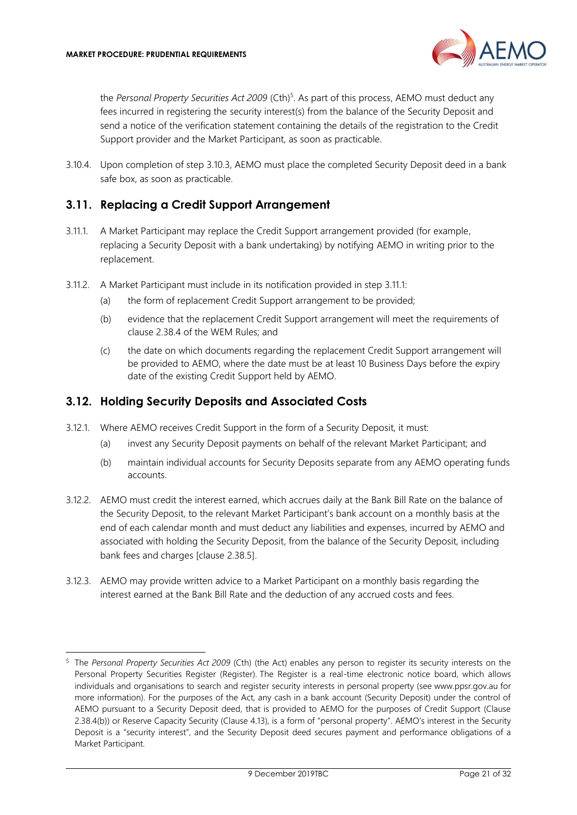

the *Personal Property Securities Act 2009* (Cth) 5 . As part of this process, AEMO must deduct any fees incurred in registering the security interest(s) from the balance of the Security Deposit and send a notice of the verification statement containing the details of the registration to the Credit Support provider and the Market Participant, as soon as practicable.

3.10.4. Upon completion of step [3.10.3,](#page-19-7) AEMO must place the completed Security Deposit deed in a bank safe box, as soon as practicable.

#### <span id="page-20-0"></span>**3.11. Replacing a Credit Support Arrangement**

- <span id="page-20-2"></span>3.11.1. A Market Participant may replace the Credit Support arrangement provided (for example, replacing a Security Deposit with a bank undertaking) by notifying AEMO in writing prior to the replacement.
- 3.11.2. A Market Participant must include in its notification provided in step [3.11.1:](#page-20-2)
	- (a) the form of replacement Credit Support arrangement to be provided;
	- (b) evidence that the replacement Credit Support arrangement will meet the requirements of clause 2.38.4 of the WEM Rules; and
	- (c) the date on which documents regarding the replacement Credit Support arrangement will be provided to AEMO, where the date must be at least 10 Business Days before the expiry date of the existing Credit Support held by AEMO.

#### <span id="page-20-1"></span>**3.12. Holding Security Deposits and Associated Costs**

- 3.12.1. Where AEMO receives Credit Support in the form of a Security Deposit, it must:
	- (a) invest any Security Deposit payments on behalf of the relevant Market Participant; and
	- (b) maintain individual accounts for Security Deposits separate from any AEMO operating funds accounts.
- 3.12.2. AEMO must credit the interest earned, which accrues daily at the Bank Bill Rate on the balance of the Security Deposit, to the relevant Market Participant's bank account on a monthly basis at the end of each calendar month and must deduct any liabilities and expenses, incurred by AEMO and associated with holding the Security Deposit, from the balance of the Security Deposit, including bank fees and charges [clause 2.38.5].
- 3.12.3. AEMO may provide written advice to a Market Participant on a monthly basis regarding the interest earned at the Bank Bill Rate and the deduction of any accrued costs and fees.

<sup>5</sup> The *Personal Property Securities Act 2009* (Cth) (the Act) enables any person to register its security interests on the Personal Property Securities Register (Register). The Register is a real-time electronic notice board, which allows individuals and organisations to search and register security interests in personal property (see [www.ppsr.gov.au](http://www.ppsr.gov.au/) for more information). For the purposes of the Act, any cash in a bank account (Security Deposit) under the control of AEMO pursuant to a Security Deposit deed, that is provided to AEMO for the purposes of Credit Support (Clause 2.38.4(b)) or Reserve Capacity Security (Clause 4.13), is a form of "personal property". AEMO's interest in the Security Deposit is a "security interest", and the Security Deposit deed secures payment and performance obligations of a Market Participant.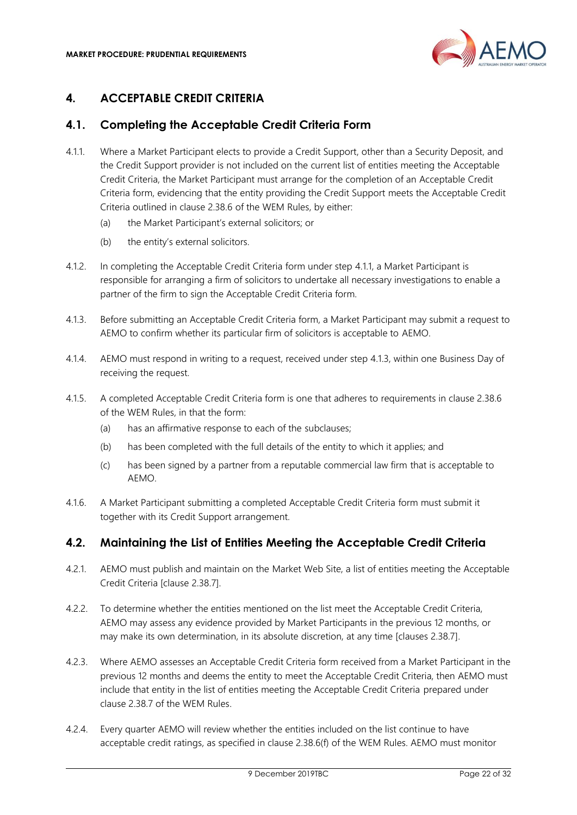

# <span id="page-21-0"></span>**4. ACCEPTABLE CREDIT CRITERIA**

# <span id="page-21-1"></span>**4.1. Completing the Acceptable Credit Criteria Form**

- <span id="page-21-3"></span>4.1.1. Where a Market Participant elects to provide a Credit Support, other than a Security Deposit, and the Credit Support provider is not included on the current list of entities meeting the Acceptable Credit Criteria, the Market Participant must arrange for the completion of an Acceptable Credit Criteria form, evidencing that the entity providing the Credit Support meets the Acceptable Credit Criteria outlined in clause 2.38.6 of the WEM Rules, by either:
	- (a) the Market Participant's external solicitors; or
	- (b) the entity's external solicitors.
- 4.1.2. In completing the Acceptable Credit Criteria form under step [4.1.1,](#page-21-3) a Market Participant is responsible for arranging a firm of solicitors to undertake all necessary investigations to enable a partner of the firm to sign the Acceptable Credit Criteria form.
- <span id="page-21-4"></span>4.1.3. Before submitting an Acceptable Credit Criteria form, a Market Participant may submit a request to AEMO to confirm whether its particular firm of solicitors is acceptable to AEMO.
- 4.1.4. AEMO must respond in writing to a request, received under step [4.1.3,](#page-21-4) within one Business Day of receiving the request.
- 4.1.5. A completed Acceptable Credit Criteria form is one that adheres to requirements in clause 2.38.6 of the WEM Rules, in that the form:
	- (a) has an affirmative response to each of the subclauses;
	- (b) has been completed with the full details of the entity to which it applies; and
	- (c) has been signed by a partner from a reputable commercial law firm that is acceptable to AEMO.
- 4.1.6. A Market Participant submitting a completed Acceptable Credit Criteria form must submit it together with its Credit Support arrangement.

## <span id="page-21-2"></span>**4.2. Maintaining the List of Entities Meeting the Acceptable Credit Criteria**

- 4.2.1. AEMO must publish and maintain on the Market Web Site, a list of entities meeting the Acceptable Credit Criteria [clause 2.38.7].
- 4.2.2. To determine whether the entities mentioned on the list meet the Acceptable Credit Criteria, AEMO may assess any evidence provided by Market Participants in the previous 12 months, or may make its own determination, in its absolute discretion, at any time [clauses 2.38.7].
- 4.2.3. Where AEMO assesses an Acceptable Credit Criteria form received from a Market Participant in the previous 12 months and deems the entity to meet the Acceptable Credit Criteria, then AEMO must include that entity in the list of entities meeting the Acceptable Credit Criteria prepared under clause 2.38.7 of the WEM Rules.
- 4.2.4. Every quarter AEMO will review whether the entities included on the list continue to have acceptable credit ratings, as specified in clause 2.38.6(f) of the WEM Rules. AEMO must monitor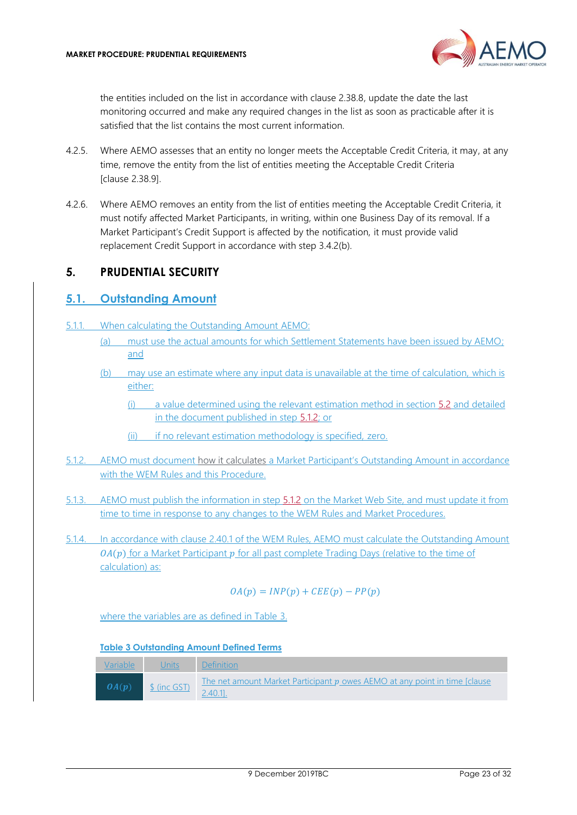

the entities included on the list in accordance with clause 2.38.8, update the date the last monitoring occurred and make any required changes in the list as soon as practicable after it is satisfied that the list contains the most current information.

- 4.2.5. Where AEMO assesses that an entity no longer meets the Acceptable Credit Criteria, it may, at any time, remove the entity from the list of entities meeting the Acceptable Credit Criteria [clause 2.38.9].
- 4.2.6. Where AEMO removes an entity from the list of entities meeting the Acceptable Credit Criteria, it must notify affected Market Participants, in writing, within one Business Day of its removal. If a Market Participant's Credit Support is affected by the notification, it must provide valid replacement Credit Support in accordance with step 3.4.[2\(b\).](#page-15-5)

# <span id="page-22-0"></span>**5. PRUDENTIAL SECURITY**

#### <span id="page-22-1"></span>**5.1. Outstanding Amount**

- 5.1.1. When calculating the Outstanding Amount AEMO:
	- (a) must use the actual amounts for which Settlement Statements have been issued by AEMO; and
	- (b) may use an estimate where any input data is unavailable at the time of calculation, which is either:
		- (i) a value determined using the relevant estimation method in section [5.2](#page-25-0) and detailed in the document published in step [5.1.2;](#page-22-2) or
		- (ii) if no relevant estimation methodology is specified, zero.
- <span id="page-22-2"></span>5.1.2. AEMO must document how it calculates a Market Participant's Outstanding Amount in accordance with the WEM Rules and this Procedure.
- 5.1.3. AEMO must publish the information in step [5.1.2](#page-22-2) on the Market Web Site, and must update it from time to time in response to any changes to the WEM Rules and Market Procedures.
- 5.1.4. In accordance with clause 2.40.1 of the WEM Rules, AEMO must calculate the Outstanding Amount  $O(A(p))$  for a Market Participant p for all past complete Trading Days (relative to the time of calculation) as:

$$
OA(p) = INP(p) + CEE(p) - PP(p)
$$

where the variables are as defined in Table 3.

#### **Table 3 Outstanding Amount Defined Terms**

| Variable | <u>Units</u> | Definition                                                                                  |
|----------|--------------|---------------------------------------------------------------------------------------------|
| OA(p)    | \$ (inc GST) | The net amount Market Participant $p$ owes AEMO at any point in time [clause]<br>$2.40.1$ . |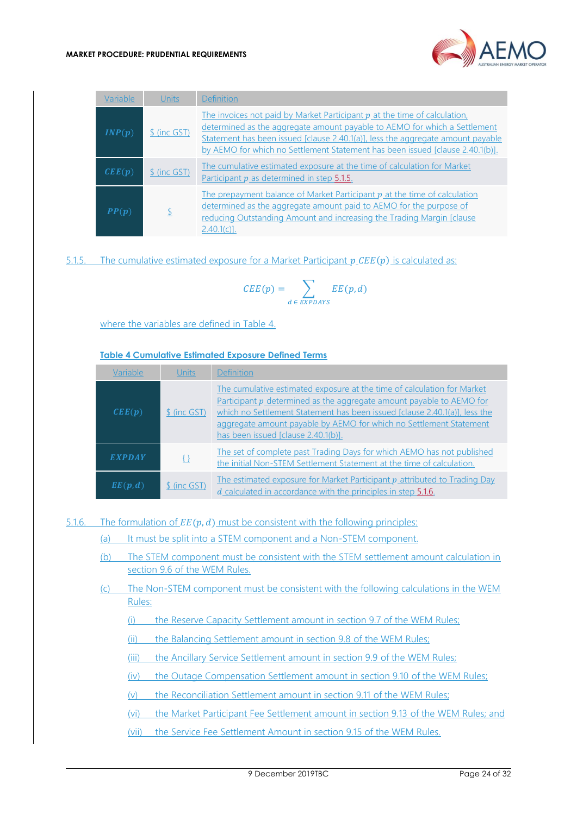

| Variable                   | Units        | <b>Definition</b>                                                                                                                                                                                                                                                                                                            |
|----------------------------|--------------|------------------------------------------------------------------------------------------------------------------------------------------------------------------------------------------------------------------------------------------------------------------------------------------------------------------------------|
| INP(p)                     | \$ (inc GST) | The invoices not paid by Market Participant $p$ at the time of calculation,<br>determined as the aggregate amount payable to AEMO for which a Settlement<br>Statement has been issued [clause 2.40.1(a)], less the aggregate amount payable<br>by AEMO for which no Settlement Statement has been issued [clause 2.40.1(b)]. |
| $\mathbf{CEE}(\mathbf{p})$ | \$ (inc GST) | The cumulative estimated exposure at the time of calculation for Market<br>Participant $p$ as determined in step $5.1.5$ .                                                                                                                                                                                                   |
| PP(p)                      |              | The prepayment balance of Market Participant $p$ at the time of calculation<br>determined as the aggregate amount paid to AEMO for the purpose of<br>reducing Outstanding Amount and increasing the Trading Margin [clause]<br>$2.40.1(c)$ ].                                                                                |

<span id="page-23-0"></span>5.1.5. The cumulative estimated exposure for a Market Participant  $p \text{ } CEE(p)$  is calculated as:

$$
CEE(p) = \sum_{d \,\in\, EXPDAYS} EE(p,d)
$$

where the variables are defined in Table 4.

#### **Table 4 Cumulative Estimated Exposure Defined Terms**

| Variable                   | Units        | <b>Definition</b>                                                                                                                                                                                                                                                                                                                          |
|----------------------------|--------------|--------------------------------------------------------------------------------------------------------------------------------------------------------------------------------------------------------------------------------------------------------------------------------------------------------------------------------------------|
| $\mathbf{CEE}(\mathbf{p})$ | \$ (inc GST) | The cumulative estimated exposure at the time of calculation for Market<br>Participant p determined as the aggregate amount payable to AEMO for<br>which no Settlement Statement has been issued [clause 2.40.1(a)], less the<br>aggregate amount payable by AEMO for which no Settlement Statement<br>has been issued [clause 2.40.1(b)]. |
| EXPDAY                     | {}           | The set of complete past Trading Days for which AEMO has not published<br>the initial Non-STEM Settlement Statement at the time of calculation.                                                                                                                                                                                            |
| EE(p,d)                    | \$ (inc GST) | The estimated exposure for Market Participant p attributed to Trading Day<br>d calculated in accordance with the principles in step 5.1.6.                                                                                                                                                                                                 |

<span id="page-23-1"></span>5.1.6. The formulation of  $EE(p, d)$  must be consistent with the following principles:

- (a) It must be split into a STEM component and a Non-STEM component.
- (b) The STEM component must be consistent with the STEM settlement amount calculation in section 9.6 of the WEM Rules.
- (c) The Non-STEM component must be consistent with the following calculations in the WEM Rules:
	- (i) the Reserve Capacity Settlement amount in section 9.7 of the WEM Rules;
	- (ii) the Balancing Settlement amount in section 9.8 of the WEM Rules;
	- (iii) the Ancillary Service Settlement amount in section 9.9 of the WEM Rules;
	- (iv) the Outage Compensation Settlement amount in section 9.10 of the WEM Rules;
	- (v) the Reconciliation Settlement amount in section 9.11 of the WEM Rules;
	- (vi) the Market Participant Fee Settlement amount in section 9.13 of the WEM Rules; and
	- (vii) the Service Fee Settlement Amount in section 9.15 of the WEM Rules.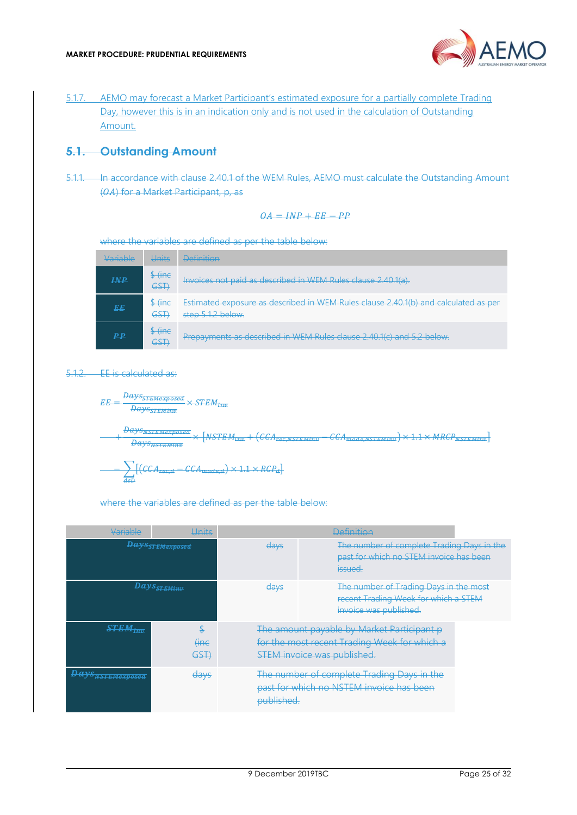

5.1.7. AEMO may forecast a Market Participant's estimated exposure for a partially complete Trading Day, however this is in an indication only and is not used in the calculation of Outstanding Amount.

#### **5.1. Outstanding Amount**

5.1.1. In accordance with clause 2.40.1 of the WEM Rules, AEMO must calculate the Outstanding Amount (OA) for a Market Participant, p, as

$$
OA = INP + EE - PP
$$

where the variables are defined as per the table below:

| Variable        | Units                                                                    | <b>Definition</b>                                                                                        |
|-----------------|--------------------------------------------------------------------------|----------------------------------------------------------------------------------------------------------|
| $I\mathcal{NP}$ | $\frac{\int \sin x}{\int \sin x}$<br>GST                                 | Invoices not paid as described in WEM Rules clause 2.40.1(a).                                            |
| EE              | $\frac{\int \mathbf{f} \cdot d\mathbf{r}}{2}$<br>$\overline{\text{GSH}}$ | Estimated exposure as described in WEM Rules clause 2.40.1(b) and calculated as per<br>step 5.1.2 below. |
| ₽₽              | $\frac{\text{Time}}{\text{The}}$<br>GST                                  | Prepayments as described in WEM Rules clause 2.40.1(c) and 5.2 below.                                    |

#### <span id="page-24-0"></span>5.1.2. EE is calculated as:

 $EF =$  $\frac{Bays_{SFEMexposed}}{Dase} \times STEM_{Huv}$  $\overline{Bays_{SIFMim}}$ 

Bays<sub>NSTEMexposed</sub> **Days** Surveyork  $+ (CCA_{\text{zero} \text{ arctrainn}} - CCA_{\text{mode} \text{ arctrMinn}}) \times 1.1 \times MRCP_{\text{ASTEMinb}})$ 

$$
\sum_{d \in D} [(CCA_{\text{free},d} - CCA_{\text{made},d}) \times 1.1 \times RCP_d]
$$

#### where the variables are defined as per the table below:

| Variable                 | Units                        |                                                                                                                                  | <b>Definition</b>                                                                                        |  |
|--------------------------|------------------------------|----------------------------------------------------------------------------------------------------------------------------------|----------------------------------------------------------------------------------------------------------|--|
|                          | <b>Days</b> STEMexposed      | days                                                                                                                             | The number of complete Trading Days in the<br>past for which no STEM invoice has been<br><i>issued.</i>  |  |
|                          | <b>Days</b> STEMINU          | days                                                                                                                             | The number of Trading Days in the most<br>recent Trading Week for which a STEM<br>invoice was published. |  |
| $STEM_{Inv}$             | \$<br><del>(inc</del><br>GST | The amount payable by Market Participant p<br>for the most recent Trading Week for which a<br><b>STEM invoice was published.</b> |                                                                                                          |  |
| <b>Days</b> NSTEMexposed | <del>days</del>              | The number of complete Trading Days in the<br>past for which no NSTEM invoice has been<br>published.                             |                                                                                                          |  |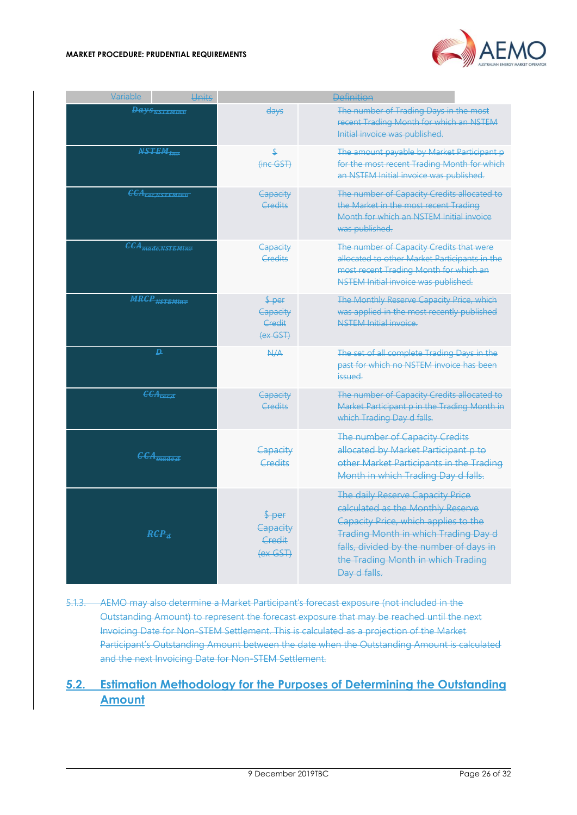#### **MARKET PROCEDURE: PRUDENTIAL REQUIREMENTS**



| Variable                            | Units                           | <b>Definition</b>                                                                                                                  |                                                                                                                                                                                                                                                               |  |
|-------------------------------------|---------------------------------|------------------------------------------------------------------------------------------------------------------------------------|---------------------------------------------------------------------------------------------------------------------------------------------------------------------------------------------------------------------------------------------------------------|--|
| <b>Days</b> NSTEMINU                |                                 | days                                                                                                                               | The number of Trading Days in the most<br>recent Trading Month for which an NSTEM<br>Initial invoice was published.                                                                                                                                           |  |
| $\n  NSTEM$                         |                                 | (inc GST)                                                                                                                          | The amount payable by Market Participant p<br>for the most recent Trading Month for which<br>an NSTEM Initial invoice was published.                                                                                                                          |  |
| <b>CCA</b> <sub>rec, NSTEMINV</sub> |                                 | Capacity<br>Credits                                                                                                                | The number of Capacity Credits allocated to<br>the Market in the most recent Trading<br>Month for which an NSTEM Initial invoice<br>was published.                                                                                                            |  |
| CCA <sub>made,NSTEMinv</sub>        |                                 | Capacity<br><b>Credits</b>                                                                                                         | The number of Capacity Credits that were<br>allocated to other Market Participants in the<br>most recent Trading Month for which an<br>NSTEM Initial invoice was published.                                                                                   |  |
|                                     | <b>MRCP</b> <sub>NSTEMINV</sub> | $\frac{4}{2}$ per<br>Capacity<br>Credit<br>$\left(\nex\right)\n\left(\n\begin{array}{c}\n\text{S}\n\text{S}\n\end{array}\n\right)$ | The Monthly Reserve Capacity Price, which<br>was applied in the most recently published<br><b>NSTEM Initial invoice.</b>                                                                                                                                      |  |
|                                     | $\overline{p}$                  | A/A                                                                                                                                | The set of all complete Trading Days in the<br>past for which no NSTEM invoice has been<br><i>issued.</i>                                                                                                                                                     |  |
|                                     | $\overline{GCA_{rec,d}}$        | Capacity<br>Credits                                                                                                                | The number of Capacity Credits allocated to<br>Market Participant p in the Trading Month in<br>which Trading Day d falls.                                                                                                                                     |  |
|                                     | $\overline{6CA_{made,d}}$       | Capacity<br>Credits                                                                                                                | The number of Capacity Credits<br>allocated by Market Participant p to<br>other Market Participants in the Trading<br>Month in which Trading Day d falls.                                                                                                     |  |
|                                     | $RCP_{\overline{a}}$            | $\sqrt{$\text{per}}$<br>Capacity<br>Credit<br>(ex GST)                                                                             | The daily Reserve Capacity Price<br>calculated as the Monthly Reserve<br>Capacity Price, which applies to the<br><b>Trading Month in which Trading Day d</b><br>falls, divided by the number of days in<br>the Trading Month in which Trading<br>Day d falls. |  |

- <span id="page-25-1"></span>5.1.3. AEMO may also determine a Market Participant's forecast exposure (not included in the Outstanding Amount) to represent the forecast exposure that may be reached until the next Invoicing Date for Non-STEM Settlement. This is calculated as a projection of the Market Participant's Outstanding Amount between the date when the Outstanding Amount is calculated and the next Invoicing Date for Non-STEM Settlement.
- <span id="page-25-0"></span>**5.2. Estimation Methodology for the Purposes of Determining the Outstanding Amount**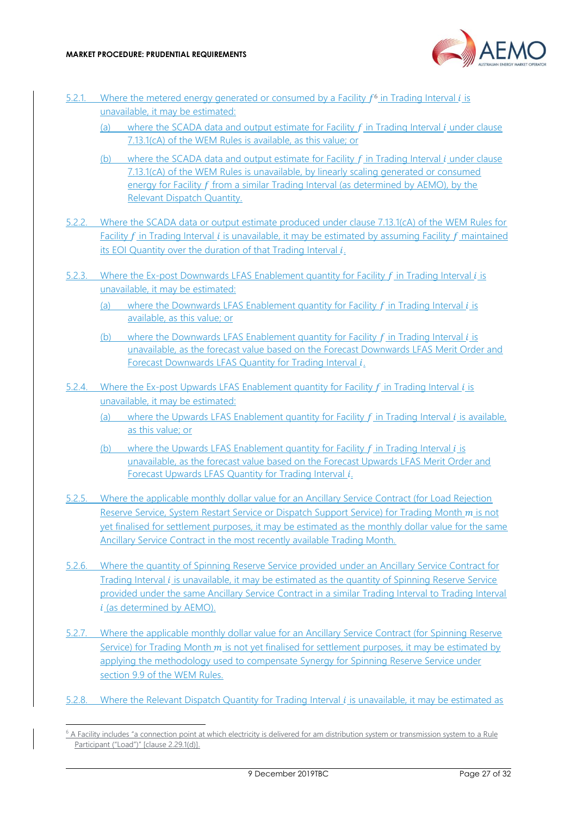

- 5.2.1. Where the metered energy generated or consumed by a Facility  $f^6$  in Trading Interval *i* is unavailable, it may be estimated:
	- (a) where the SCADA data and output estimate for Facility  $f$  in Trading Interval  $i$  under clause 7.13.1(cA) of the WEM Rules is available, as this value; or
	- (b) where the SCADA data and output estimate for Facility  $f$  in Trading Interval  $i$  under clause 7.13.1(cA) of the WEM Rules is unavailable, by linearly scaling generated or consumed energy for Facility  $f$  from a similar Trading Interval (as determined by AEMO), by the Relevant Dispatch Quantity.
- 5.2.2. Where the SCADA data or output estimate produced under clause 7.13.1(cA) of the WEM Rules for Facility  $f$  in Trading Interval  $i$  is unavailable, it may be estimated by assuming Facility  $f$  maintained its EOI Quantity over the duration of that Trading Interval  $i$ .
- 5.2.3. Where the Ex-post Downwards LFAS Enablement quantity for Facility  $f$  in Trading Interval  $i$  is unavailable, it may be estimated:
	- (a) where the Downwards LFAS Enablement quantity for Facility  $f$  in Trading Interval  $i$  is available, as this value; or
	- (b) where the Downwards LFAS Enablement quantity for Facility  $f$  in Trading Interval  $i$  is unavailable, as the forecast value based on the Forecast Downwards LFAS Merit Order and Forecast Downwards LFAS Quantity for Trading Interval *i.*
- 5.2.4. Where the Ex-post Upwards LFAS Enablement quantity for Facility  $f$  in Trading Interval  $i$  is unavailable, it may be estimated:
	- (a) where the Upwards LFAS Enablement quantity for Facility  $f$  in Trading Interval  $i$  is available, as this value; or
	- (b) where the Upwards LFAS Enablement quantity for Facility  $f$  in Trading Interval  $i$  is unavailable, as the forecast value based on the Forecast Upwards LFAS Merit Order and Forecast Upwards LFAS Quantity for Trading Interval *i*.
- 5.2.5. Where the applicable monthly dollar value for an Ancillary Service Contract (for Load Rejection Reserve Service, System Restart Service or Dispatch Support Service) for Trading Month m is not yet finalised for settlement purposes, it may be estimated as the monthly dollar value for the same Ancillary Service Contract in the most recently available Trading Month.
- 5.2.6. Where the quantity of Spinning Reserve Service provided under an Ancillary Service Contract for Trading Interval *i* is unavailable, it may be estimated as the quantity of Spinning Reserve Service provided under the same Ancillary Service Contract in a similar Trading Interval to Trading Interval  $i$  (as determined by AEMO).
- 5.2.7. Where the applicable monthly dollar value for an Ancillary Service Contract (for Spinning Reserve Service) for Trading Month  $m$  is not yet finalised for settlement purposes, it may be estimated by applying the methodology used to compensate Synergy for Spinning Reserve Service under section 9.9 of the WEM Rules.
- 5.2.8. Where the Relevant Dispatch Quantity for Trading Interval is unavailable, it may be estimated as

 $6$  A Facility includes "a connection point at which electricity is delivered for am distribution system or transmission system to a Rule Participant ("Load")" [clause 2.29.1(d)].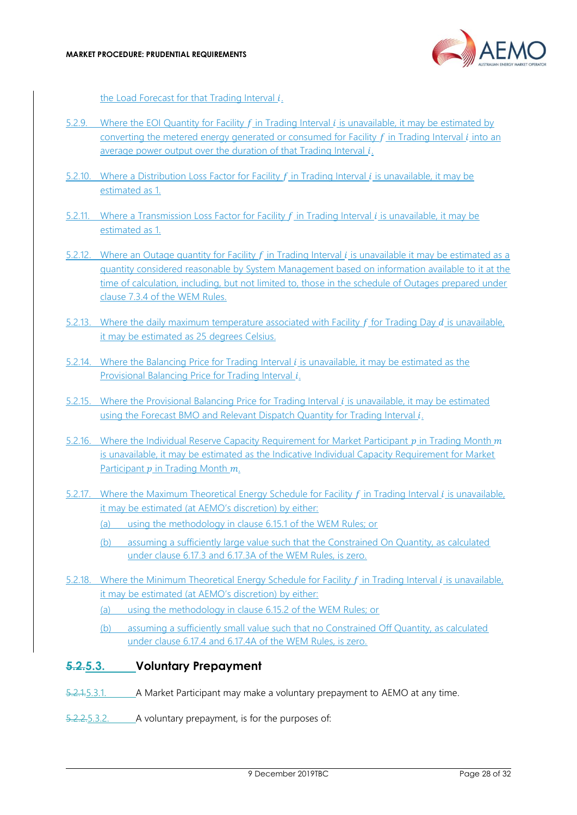

the Load Forecast for that Trading Interval  $i$ .

- 5.2.9. Where the EOI Quantity for Facility  $f$  in Trading Interval  $i$  is unavailable, it may be estimated by converting the metered energy generated or consumed for Facility  $f$  in Trading Interval  $i$  into an average power output over the duration of that Trading Interval  $i$ .
- 5.2.10. Where a Distribution Loss Factor for Facility  $f$  in Trading Interval  $i$  is unavailable, it may be estimated as 1.
- 5.2.11. Where a Transmission Loss Factor for Facility  $f$  in Trading Interval  $i$  is unavailable, it may be estimated as 1.
- 5.2.12. Where an Outage quantity for Facility  $f$  in Trading Interval  $i$  is unavailable it may be estimated as a quantity considered reasonable by System Management based on information available to it at the time of calculation, including, but not limited to, those in the schedule of Outages prepared under clause 7.3.4 of the WEM Rules.
- 5.2.13. Where the daily maximum temperature associated with Facility  $f$  for Trading Day  $d$  is unavailable, it may be estimated as 25 degrees Celsius.
- 5.2.14. Where the Balancing Price for Trading Interval  $i$  is unavailable, it may be estimated as the Provisional Balancing Price for Trading Interval i.
- 5.2.15. Where the Provisional Balancing Price for Trading Interval is unavailable, it may be estimated using the Forecast BMO and Relevant Dispatch Quantity for Trading Interval *i*.
- 5.2.16. Where the Individual Reserve Capacity Requirement for Market Participant  $p$  in Trading Month  $m$ is unavailable, it may be estimated as the Indicative Individual Capacity Requirement for Market Participant  $p$  in Trading Month  $m$ .
- 5.2.17. Where the Maximum Theoretical Energy Schedule for Facility  $f$  in Trading Interval  $i$  is unavailable. it may be estimated (at AEMO's discretion) by either:
	- (a) using the methodology in clause 6.15.1 of the WEM Rules; or
	- (b) assuming a sufficiently large value such that the Constrained On Quantity, as calculated under clause 6.17.3 and 6.17.3A of the WEM Rules, is zero.
- 5.2.18. Where the Minimum Theoretical Energy Schedule for Facility  $f$  in Trading Interval  $i$  is unavailable, it may be estimated (at AEMO's discretion) by either:
	- (a) using the methodology in clause 6.15.2 of the WEM Rules; or
	- (b) assuming a sufficiently small value such that no Constrained Off Quantity, as calculated under clause 6.17.4 and 6.17.4A of the WEM Rules, is zero.

#### <span id="page-27-0"></span>**5.2.5.3. Voluntary Prepayment**

- 5.2.1.5.3.1. A Market Participant may make a voluntary prepayment to AEMO at any time.
- 5.2.2.5.3.2. A voluntary prepayment, is for the purposes of: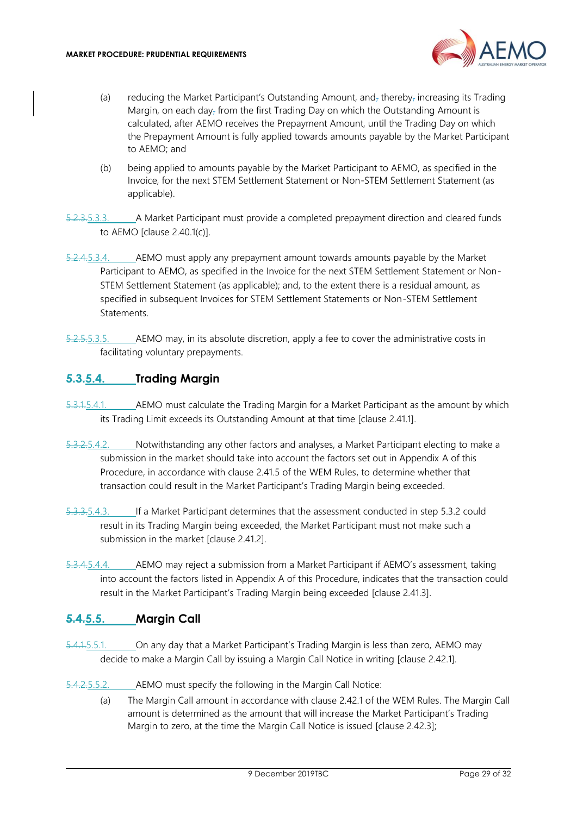

- (a) reducing the Market Participant's Outstanding Amount, and, thereby, increasing its Trading Margin, on each day<sub> $\bar{z}$ </sub> from the first Trading Day on which the Outstanding Amount is calculated, after AEMO receives the Prepayment Amount, until the Trading Day on which the Prepayment Amount is fully applied towards amounts payable by the Market Participant to AEMO; and
- (b) being applied to amounts payable by the Market Participant to AEMO, as specified in the Invoice, for the next STEM Settlement Statement or Non-STEM Settlement Statement (as applicable).
- 5.2.3.5.3.3. A Market Participant must provide a completed prepayment direction and cleared funds to AEMO [clause 2.40.1(c)].
- 5.2.4.5.3.4. AEMO must apply any prepayment amount towards amounts payable by the Market Participant to AEMO, as specified in the Invoice for the next STEM Settlement Statement or Non-STEM Settlement Statement (as applicable); and, to the extent there is a residual amount, as specified in subsequent Invoices for STEM Settlement Statements or Non-STEM Settlement Statements.
- 5.2.5.5.3.5. AEMO may, in its absolute discretion, apply a fee to cover the administrative costs in facilitating voluntary prepayments.

## <span id="page-28-0"></span>**5.3.5.4. Trading Margin**

- 5.3.1.5.4.1. AEMO must calculate the Trading Margin for a Market Participant as the amount by which its Trading Limit exceeds its Outstanding Amount at that time [clause 2.41.1].
- 5.3.2.5.4.2. Notwithstanding any other factors and analyses, a Market Participant electing to make a submission in the market should take into account the factors set out in Appendix A of this Procedure, in accordance with clause 2.41.5 of the WEM Rules, to determine whether that transaction could result in the Market Participant's Trading Margin being exceeded.
- 5.3.3.5.4.3. If a Market Participant determines that the assessment conducted in step 5.3.2 could result in its Trading Margin being exceeded, the Market Participant must not make such a submission in the market [clause 2.41.2].
- 5.3.4.5.4.4. AEMO may reject a submission from a Market Participant if AEMO's assessment, taking into account the factors listed in Appendix A of this Procedure, indicates that the transaction could result in the Market Participant's Trading Margin being exceeded [clause 2.41.3].

# <span id="page-28-1"></span>**5.4.5.5. Margin Call**

- 5.4.1.5.5.1. On any day that a Market Participant's Trading Margin is less than zero, AEMO may decide to make a Margin Call by issuing a Margin Call Notice in writing [clause 2.42.1].
- <span id="page-28-2"></span>5.4.2.5.5.2. AEMO must specify the following in the Margin Call Notice:
	- (a) The Margin Call amount in accordance with clause 2.42.1 of the WEM Rules. The Margin Call amount is determined as the amount that will increase the Market Participant's Trading Margin to zero, at the time the Margin Call Notice is issued [clause 2.42.3];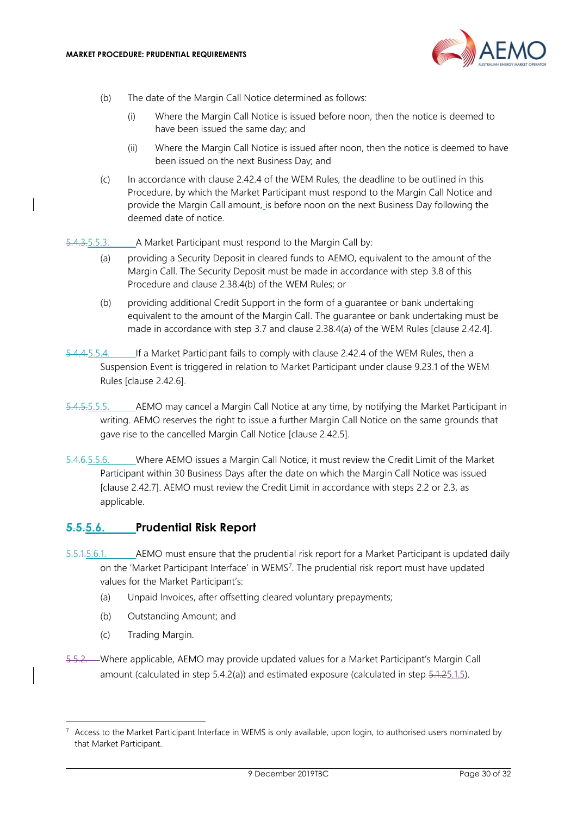

- (b) The date of the Margin Call Notice determined as follows:
	- (i) Where the Margin Call Notice is issued before noon, then the notice is deemed to have been issued the same day; and
	- (ii) Where the Margin Call Notice is issued after noon, then the notice is deemed to have been issued on the next Business Day; and
- (c) In accordance with clause 2.42.4 of the WEM Rules, the deadline to be outlined in this Procedure, by which the Market Participant must respond to the Margin Call Notice and provide the Margin Call amount, is before noon on the next Business Day following the deemed date of notice.

5.4.3.5.5.3. A Market Participant must respond to the Margin Call by:

- (a) providing a Security Deposit in cleared funds to AEMO, equivalent to the amount of the Margin Call. The Security Deposit must be made in accordance with step [3.8](#page-18-0) of this Procedure and clause 2.38.4(b) of the WEM Rules; or
- (b) providing additional Credit Support in the form of a guarantee or bank undertaking equivalent to the amount of the Margin Call. The guarantee or bank undertaking must be made in accordance with step [3.7](#page-17-0) and clause 2.38.4(a) of the WEM Rules [clause 2.42.4].
- 5.4.4.5.5.4. If a Market Participant fails to comply with clause 2.42.4 of the WEM Rules, then a Suspension Event is triggered in relation to Market Participant under clause 9.23.1 of the WEM Rules [clause 2.42.6].
- 5.4.5.5.5.5. AEMO may cancel a Margin Call Notice at any time, by notifying the Market Participant in writing. AEMO reserves the right to issue a further Margin Call Notice on the same grounds that gave rise to the cancelled Margin Call Notice [clause 2.42.5].
- 5.4.6.5.5.6. Where AEMO issues a Margin Call Notice, it must review the Credit Limit of the Market Participant within 30 Business Days after the date on which the Margin Call Notice was issued [clause 2.42.7]. AEMO must review the Credit Limit in accordance with steps [2.2](#page-7-2) or [2.3,](#page-9-0) as applicable.

#### <span id="page-29-0"></span>**5.5.5.6. Prudential Risk Report**

- 5.5.1.5.6.1. AEMO must ensure that the prudential risk report for a Market Participant is updated daily on the 'Market Participant Interface' in WEMS<sup>7</sup>. The prudential risk report must have updated values for the Market Participant's:
	- (a) Unpaid Invoices, after offsetting cleared voluntary prepayments;
	- (b) Outstanding Amount; and
	- (c) Trading Margin.
- 5.5.2. Where applicable, AEMO may provide updated values for a Market Participant's Margin Call amount (calculated in step  $5.4.2(a)$ ) and estimated exposure (calculated in step  $5.1.25.1.5$ ).

<sup>&</sup>lt;sup>7</sup> Access to the Market Participant Interface in WEMS is only available, upon login, to authorised users nominated by that Market Participant.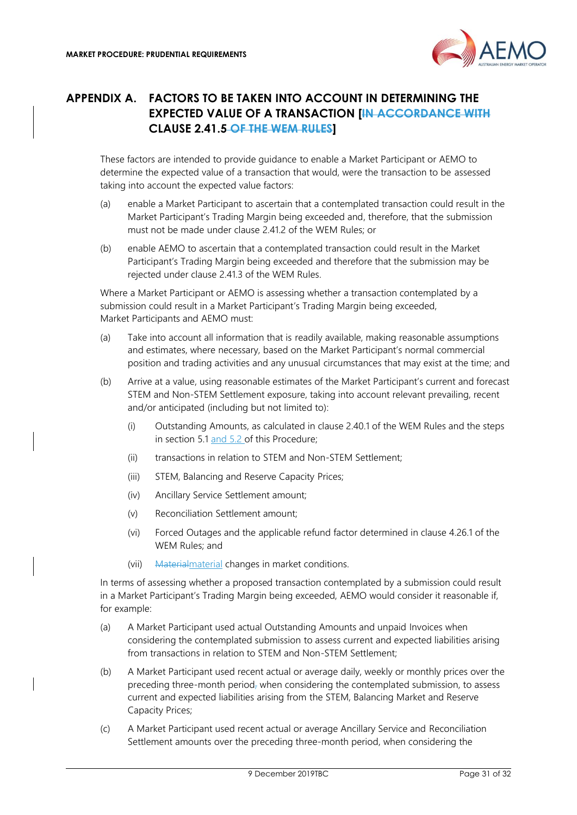

## <span id="page-30-0"></span>**APPENDIX A. FACTORS TO BE TAKEN INTO ACCOUNT IN DETERMINING THE EXPECTED VALUE OF A TRANSACTION [IN ACCORDANCE WITH CLAUSE 2.41.5 OF THE WEM RULES]**

These factors are intended to provide guidance to enable a Market Participant or AEMO to determine the expected value of a transaction that would, were the transaction to be assessed taking into account the expected value factors:

- (a) enable a Market Participant to ascertain that a contemplated transaction could result in the Market Participant's Trading Margin being exceeded and, therefore, that the submission must not be made under clause 2.41.2 of the WEM Rules; or
- (b) enable AEMO to ascertain that a contemplated transaction could result in the Market Participant's Trading Margin being exceeded and therefore that the submission may be rejected under clause 2.41.3 of the WEM Rules.

Where a Market Participant or AEMO is assessing whether a transaction contemplated by a submission could result in a Market Participant's Trading Margin being exceeded, Market Participants and AEMO must:

- (a) Take into account all information that is readily available, making reasonable assumptions and estimates, where necessary, based on the Market Participant's normal commercial position and trading activities and any unusual circumstances that may exist at the time; and
- (b) Arrive at a value, using reasonable estimates of the Market Participant's current and forecast STEM and Non-STEM Settlement exposure, taking into account relevant prevailing, recent and/or anticipated (including but not limited to):
	- (i) Outstanding Amounts, as calculated in clause 2.40.1 of the WEM Rules and the steps in section [5.1](#page-22-1) and 5.2 of this Procedure;
	- (ii) transactions in relation to STEM and Non-STEM Settlement;
	- (iii) STEM, Balancing and Reserve Capacity Prices;
	- (iv) Ancillary Service Settlement amount;
	- (v) Reconciliation Settlement amount;
	- (vi) Forced Outages and the applicable refund factor determined in clause 4.26.1 of the WEM Rules; and
	- (vii) Material material changes in market conditions.

In terms of assessing whether a proposed transaction contemplated by a submission could result in a Market Participant's Trading Margin being exceeded, AEMO would consider it reasonable if, for example:

- (a) A Market Participant used actual Outstanding Amounts and unpaid Invoices when considering the contemplated submission to assess current and expected liabilities arising from transactions in relation to STEM and Non-STEM Settlement;
- (b) A Market Participant used recent actual or average daily, weekly or monthly prices over the preceding three-month period, when considering the contemplated submission, to assess current and expected liabilities arising from the STEM, Balancing Market and Reserve Capacity Prices;
- (c) A Market Participant used recent actual or average Ancillary Service and Reconciliation Settlement amounts over the preceding three-month period, when considering the